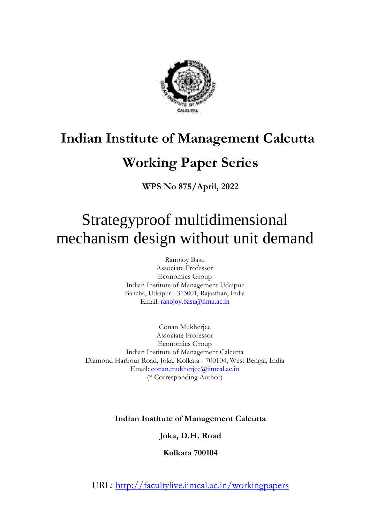

# **Indian Institute of Management Calcutta**

# **Working Paper Series**

**WPS No 875/April, 2022**

# Strategyproof multidimensional mechanism design without unit demand

Ranojoy Basu Associate Professor Economics Group Indian Institute of Management Udaipur Balicha, Udaipur - 313001, Rajasthan, India Email: [ranojoy.basu@iimu.ac.in](mailto:ranojoy.basu@iimu.ac.in)

Conan Mukherjee Associate Professor Economics Group Indian Institute of Management Calcutta Diamond Harbour Road, Joka, Kolkata - 700104, West Bengal, India Email: [conan.mukherjee@iimcal.ac.in](mailto:conan.mukherjee@iimcal.ac.in) (\* Corresponding Author)

**Indian Institute of Management Calcutta**

**Joka, D.H. Road**

**Kolkata 700104**

URL: http://facultylive.iimcal.ac.in/workingpapers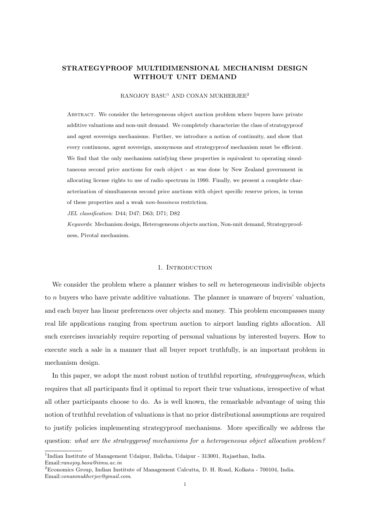## STRATEGYPROOF MULTIDIMENSIONAL MECHANISM DESIGN WITHOUT UNIT DEMAND

#### RANOJOY BASU<sup>1</sup> AND CONAN MUKHERJEE<sup>2</sup>

Abstract. We consider the heterogeneous object auction problem where buyers have private additive valuations and non-unit demand. We completely characterize the class of strategyproof and agent sovereign mechanisms. Further, we introduce a notion of continuity, and show that every continuous, agent sovereign, anonymous and strategyproof mechanism must be efficient. We find that the only mechanism satisfying these properties is equivalent to operating simultaneous second price auctions for each object - as was done by New Zealand government in allocating license rights to use of radio spectrum in 1990. Finally, we present a complete characterization of simultaneous second price auctions with object specific reserve prices, in terms of these properties and a weak non-bossiness restriction.

JEL classification: D44; D47; D63; D71; D82

Keywords: Mechanism design, Heterogeneous objects auction, Non-unit demand, Strategyproofness, Pivotal mechanism.

#### 1. Introduction

We consider the problem where a planner wishes to sell  $m$  heterogeneous indivisible objects to n buyers who have private additive valuations. The planner is unaware of buyers' valuation, and each buyer has linear preferences over objects and money. This problem encompasses many real life applications ranging from spectrum auction to airport landing rights allocation. All such exercises invariably require reporting of personal valuations by interested buyers. How to execute such a sale in a manner that all buyer report truthfully, is an important problem in mechanism design.

In this paper, we adopt the most robust notion of truthful reporting, *strategyproofness*, which requires that all participants find it optimal to report their true valuations, irrespective of what all other participants choose to do. As is well known, the remarkable advantage of using this notion of truthful revelation of valuations is that no prior distributional assumptions are required to justify policies implementing strategyproof mechanisms. More specifically we address the question: what are the strategyproof mechanisms for a heterogeneous object allocation problem?

<sup>&</sup>lt;sup>1</sup>Indian Institute of Management Udaipur, Balicha, Udaipur - 313001, Rajasthan, India. Email:ranojoy.basu@iimu.ac.in

<sup>2</sup>Economics Group, Indian Institute of Management Calcutta, D. H. Road, Kolkata - 700104, India.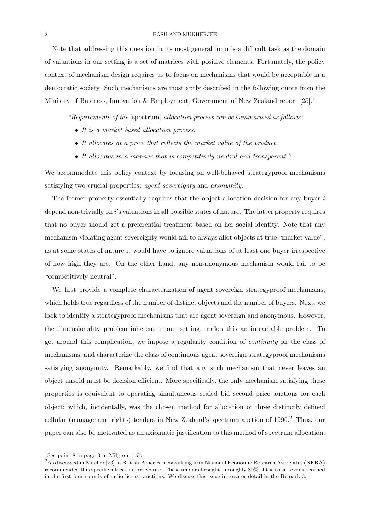Note that addressing this question in its most general form is a difficult task as the domain of valuations in our setting is a set of matrices with positive elements. Fortunately, the policy context of mechanism design requires us to focus on mechanisms that would be acceptable in a democratic society. Such mechanisms are most aptly described in the following quote from the Ministry of Business, Innovation & Employment, Government of New Zealand report  $[25]$ .<sup>1</sup>

"Requirements of the [spectrum] allocation process can be summarised as follows:

- It is a market based allocation process.
- It allocates at a price that reflects the market value of the product.
- It allocates in a manner that is competitively neutral and transparent."

We accommodate this policy context by focusing on well-behaved strategyproof mechanisms satisfying two crucial properties: agent sovereignty and anonymity.

The former property essentially requires that the object allocation decision for any buyer  $i$ depend non-trivially on i's valuations in all possible states of nature. The latter property requires that no buyer should get a preferential treatment based on her social identity. Note that any mechanism violating agent sovereignty would fail to always allot objects at true "market value", as at some states of nature it would have to ignore valuations of at least one buyer irrespective of how high they are. On the other hand, any non-anonymous mechanism would fail to be "competitively neutral".

We first provide a complete characterization of agent sovereign strategyproof mechanisms, which holds true regardless of the number of distinct objects and the number of buyers. Next, we look to identify a strategyproof mechanisms that are agent sovereign and anonymous. However, the dimensionality problem inherent in our setting, makes this an intractable problem. To get around this complication, we impose a regularity condition of continuity on the class of mechanisms, and characterize the class of continuous agent sovereign strategyproof mechanisms satisfying anonymity. Remarkably, we find that any such mechanism that never leaves an object unsold must be decision efficient. More specifically, the only mechanism satisfying these properties is equivalent to operating simultaneous sealed bid second price auctions for each object; which, incidentally, was the chosen method for allocation of three distinctly defined cellular (management rights) tenders in New Zealand's spectrum auction of 1990.<sup>2</sup> Thus, our paper can also be motivated as an axiomatic justification to this method of spectrum allocation.

<sup>&</sup>lt;sup>1</sup>See point 8 in page 3 in Milgrom  $[17]$ .

<sup>2</sup>As discussed in Mueller [23], a British-American consulting firm National Economic Research Associates (NERA) recommended this specific allocation procedure. These tenders brought in roughly 80% of the total revenue earned in the first four rounds of radio license auctions. We discuss this issue in greater detail in the Remark 3.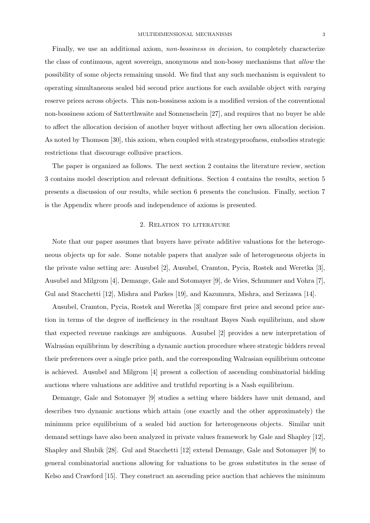Finally, we use an additional axiom, non-bossiness in decision, to completely characterize the class of continuous, agent sovereign, anonymous and non-bossy mechanisms that allow the possibility of some objects remaining unsold. We find that any such mechanism is equivalent to operating simultaneous sealed bid second price auctions for each available object with varying reserve prices across objects. This non-bossiness axiom is a modified version of the conventional non-bossiness axiom of Satterthwaite and Sonnenschein [27], and requires that no buyer be able to affect the allocation decision of another buyer without affecting her own allocation decision. As noted by Thomson [30], this axiom, when coupled with strategyproofness, embodies strategic restrictions that discourage collusive practices.

The paper is organized as follows. The next section 2 contains the literature review, section 3 contains model description and relevant definitions. Section 4 contains the results, section 5 presents a discussion of our results, while section 6 presents the conclusion. Finally, section 7 is the Appendix where proofs and independence of axioms is presented.

#### 2. Relation to literature

Note that our paper assumes that buyers have private additive valuations for the heterogeneous objects up for sale. Some notable papers that analyze sale of heterogeneous objects in the private value setting are: Ausubel [2], Ausubel, Cramton, Pycia, Rostek and Weretka [3], Ausubel and Milgrom [4], Demange, Gale and Sotomayer [9], de Vries, Schummer and Vohra [7], Gul and Stacchetti [12], Mishra and Parkes [19], and Kazumura, Mishra, and Serizawa [14].

Ausubel, Cramton, Pycia, Rostek and Weretka [3] compare first price and second price auction in terms of the degree of inefficiency in the resultant Bayes Nash equilibrium, and show that expected revenue rankings are ambiguous. Ausubel [2] provides a new interpretation of Walrasian equilibrium by describing a dynamic auction procedure where strategic bidders reveal their preferences over a single price path, and the corresponding Walrasian equilibrium outcome is achieved. Ausubel and Milgrom [4] present a collection of ascending combinatorial bidding auctions where valuations are additive and truthful reporting is a Nash equilibrium.

Demange, Gale and Sotomayer [9] studies a setting where bidders have unit demand, and describes two dynamic auctions which attain (one exactly and the other approximately) the minimum price equilibrium of a sealed bid auction for heterogeneous objects. Similar unit demand settings have also been analyzed in private values framework by Gale and Shapley [12], Shapley and Shubik [28]. Gul and Stacchetti [12] extend Demange, Gale and Sotomayer [9] to general combinatorial auctions allowing for valuations to be gross substitutes in the sense of Kelso and Crawford [15]. They construct an ascending price auction that achieves the minimum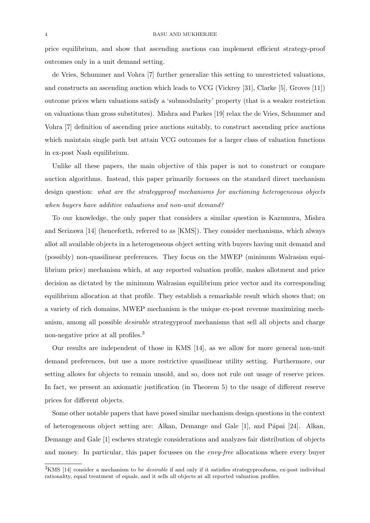price equilibrium, and show that ascending auctions can implement efficient strategy-proof outcomes only in a unit demand setting.

de Vries, Schummer and Vohra [7] further generalize this setting to unrestricted valuations, and constructs an ascending auction which leads to VCG (Vickrey [31], Clarke [5], Groves [11]) outcome prices when valuations satisfy a 'submodularity' property (that is a weaker restriction on valuations than gross substitutes). Mishra and Parkes [19] relax the de Vries, Schummer and Vohra [7] definition of ascending price auctions suitably, to construct ascending price auctions which maintain single path but attain VCG outcomes for a larger class of valuation functions in ex-post Nash equilibrium.

Unlike all these papers, the main objective of this paper is not to construct or compare auction algorithms. Instead, this paper primarily focusses on the standard direct mechanism design question: what are the strategyproof mechanisms for auctioning heterogeneous objects when buyers have additive valuations and non-unit demand?

To our knowledge, the only paper that considers a similar question is Kazumura, Mishra and Serizawa [14] (henceforth, referred to as [KMS]). They consider mechanisms, which always allot all available objects in a heterogeneous object setting with buyers having unit demand and (possibly) non-quasilinear preferences. They focus on the MWEP (minimum Walrasian equilibrium price) mechanism which, at any reported valuation profile, makes allotment and price decision as dictated by the minimum Walrasian equilibrium price vector and its corresponding equilibrium allocation at that profile. They establish a remarkable result which shows that; on a variety of rich domains, MWEP mechanism is the unique ex-post revenue maximizing mechanism, among all possible *desirable* strategyproof mechanisms that sell all objects and charge non-negative price at all profiles.<sup>3</sup>

Our results are independent of those in KMS [14], as we allow for more general non-unit demand preferences, but use a more restrictive quasilinear utility setting. Furthermore, our setting allows for objects to remain unsold, and so, does not rule out usage of reserve prices. In fact, we present an axiomatic justification (in Theorem 5) to the usage of different reserve prices for different objects.

Some other notable papers that have posed similar mechanism design questions in the context of heterogeneous object setting are: Alkan, Demange and Gale [1], and P´apai [24]. Alkan, Demange and Gale [1] eschews strategic considerations and analyzes fair distribution of objects and money. In particular, this paper focusses on the envy-free allocations where every buyer

 $3$ KMS [14] consider a mechanism to be *desirable* if and only if it satisfies strategyproofness, ex-post individual rationality, equal treatment of equals, and it sells all objects at all reported valuation profiles.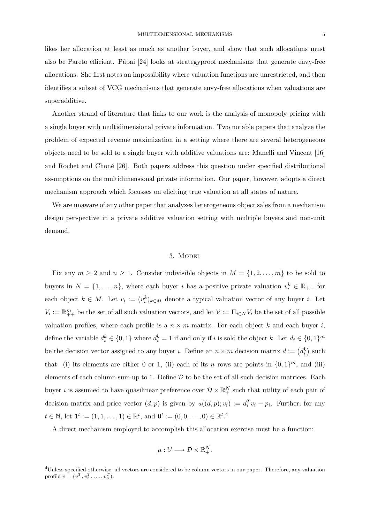likes her allocation at least as much as another buyer, and show that such allocations must also be Pareto efficient. Pápai  $[24]$  looks at strategyproof mechanisms that generate envy-free allocations. She first notes an impossibility where valuation functions are unrestricted, and then identifies a subset of VCG mechanisms that generate envy-free allocations when valuations are superadditive.

Another strand of literature that links to our work is the analysis of monopoly pricing with a single buyer with multidimensional private information. Two notable papers that analyze the problem of expected revenue maximization in a setting where there are several heterogeneous objects need to be sold to a single buyer with additive valuations are: Manelli and Vincent [16] and Rochet and Choné [26]. Both papers address this question under specified distributional assumptions on the multidimensional private information. Our paper, however, adopts a direct mechanism approach which focusses on eliciting true valuation at all states of nature.

We are unaware of any other paper that analyzes heterogeneous object sales from a mechanism design perspective in a private additive valuation setting with multiple buyers and non-unit demand.

#### 3. MODEL

Fix any  $m \ge 2$  and  $n \ge 1$ . Consider indivisible objects in  $M = \{1, 2, ..., m\}$  to be sold to buyers in  $N = \{1, \ldots, n\}$ , where each buyer i has a positive private valuation  $v_i^k \in \mathbb{R}_{++}$  for each object  $k \in M$ . Let  $v_i := (v_i^k)_{k \in M}$  denote a typical valuation vector of any buyer i. Let  $V_i := \mathbb{R}_{++}^m$  be the set of all such valuation vectors, and let  $\mathcal{V} := \prod_{i \in N} V_i$  be the set of all possible valuation profiles, where each profile is a  $n \times m$  matrix. For each object k and each buyer i, define the variable  $d_i^k \in \{0,1\}$  where  $d_i^k = 1$  if and only if i is sold the object k. Let  $d_i \in \{0,1\}^m$ be the decision vector assigned to any buyer *i*. Define an  $n \times m$  decision matrix  $d := (d_i^k)$  such that: (i) its elements are either 0 or 1, (ii) each of its n rows are points in  $\{0,1\}^m$ , and (iii) elements of each column sum up to 1. Define  $D$  to be the set of all such decision matrices. Each buyer *i* is assumed to have quasilinear preference over  $\mathcal{D} \times \mathbb{R}^N_+$  such that utility of each pair of decision matrix and price vector  $(d, p)$  is given by  $u((d, p); v_i) := d_i^T v_i - p_i$ . Further, for any  $t \in \mathbb{N}$ , let  $\mathbf{1}^{t} := (1, 1, \dots, 1) \in \mathbb{R}^{t}$ , and  $\mathbf{0}^{t} := (0, 0, \dots, 0) \in \mathbb{R}^{t}$ .

A direct mechanism employed to accomplish this allocation exercise must be a function:

$$
\mu: \mathcal{V} \longrightarrow \mathcal{D} \times \mathbb{R}^N_+.
$$

 $^{4}$ Unless specified otherwise, all vectors are considered to be column vectors in our paper. Therefore, any valuation profile  $v = (v_1^T, v_2^T, \dots, v_n^T)$ .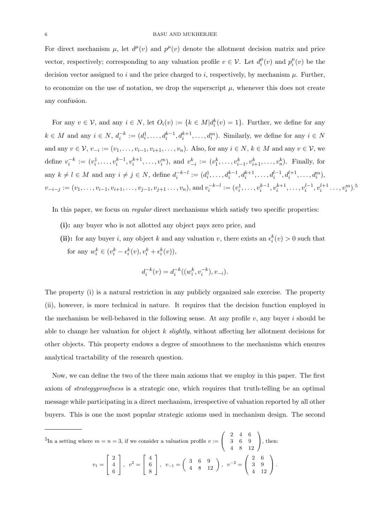For direct mechanism  $\mu$ , let  $d^{\mu}(v)$  and  $p^{\mu}(v)$  denote the allotment decision matrix and price vector, respectively; corresponding to any valuation profile  $v \in \mathcal{V}$ . Let  $d_i^{\mu}$  $p_i^{\mu}(v)$  and  $p_i^{\mu}$  $u_i^{\mu}(v)$  be the decision vector assigned to i and the price charged to i, respectively, by mechanism  $\mu$ . Further, to economize on the use of notation, we drop the superscript  $\mu$ , whenever this does not create any confusion.

For any  $v \in V$ , and any  $i \in N$ , let  $O_i(v) := \{k \in M | d_i^k(v) = 1\}$ . Further, we define for any  $k \in M$  and any  $i \in N$ ,  $d_i^{-k} := (d_i^1, \ldots, d_i^{k-1}, d_i^{k+1}, \ldots, d_i^m)$ . Similarly, we define for any  $i \in N$ and any  $v \in \mathcal{V}$ ,  $v_{-i} := (v_1, \ldots, v_{i-1}, v_{i+1}, \ldots, v_n)$ . Also, for any  $i \in N$ ,  $k \in M$  and any  $v \in \mathcal{V}$ , we define  $v_i^{-k} := (v_i^1, \ldots, v_i^{k-1}, v_i^{k+1}, \ldots, v_i^m)$ , and  $v_{-i}^k := (v_1^k, \ldots, v_{i-1}^k, v_{i+1}^k, \ldots, v_n^k)$ . Finally, for any  $k \neq l \in M$  and any  $i \neq j \in N$ , define  $d_i^{-k-l} := (d_i^1, \ldots, d_i^{k-1}, d_i^{k+1}, \ldots, d_i^{l-1}, d_i^{l+1}, \ldots, d_i^m)$ ,  $v_{-i-j} := (v_1, \ldots, v_{i-1}, v_{i+1}, \ldots, v_{j-1}, v_{j+1}, \ldots, v_n)$ , and  $v_i^{-k-l} := (v_i^1, \ldots, v_i^{k-1}, v_i^{k+1}, \ldots, v_i^{l-1}, v_i^{l+1}, \ldots, v_i^m)$ .<sup>5</sup>

In this paper, we focus on *regular* direct mechanisms which satisfy two specific properties:

- (i): any buyer who is not allotted any object pays zero price, and
- (ii): for any buyer i, any object k and any valuation v, there exists an  $\epsilon_i^k(v) > 0$  such that for any  $w_i^k \in (v_i^k - \epsilon_i^k(v), v_i^k + \epsilon_i^k(v)),$

$$
d_i^{-k}(v) = d_i^{-k}((w_i^k, v_i^{-k}), v_{-i}).
$$

The property (i) is a natural restriction in any publicly organized sale exercise. The property (ii), however, is more technical in nature. It requires that the decision function employed in the mechanism be well-behaved in the following sense. At any profile  $v$ , any buyer i should be able to change her valuation for object  $k$  slightly, without affecting her allotment decisions for other objects. This property endows a degree of smoothness to the mechanisms which ensures analytical tractability of the research question.

Now, we can define the two of the three main axioms that we employ in this paper. The first axiom of strategyproofness is a strategic one, which requires that truth-telling be an optimal message while participating in a direct mechanism, irrespective of valuation reported by all other buyers. This is one the most popular strategic axioms used in mechanism design. The second

$$
{}^{5}\text{In a setting where } m = n = 3 \text{, if we consider a valuation profile } v := \begin{pmatrix} 2 & 4 & 6 \\ 3 & 6 & 9 \\ 4 & 8 & 12 \end{pmatrix}, \text{ then:}
$$
\n
$$
v_{1} = \begin{bmatrix} 2 \\ 4 \\ 6 \end{bmatrix}, \ v^{2} = \begin{bmatrix} 4 \\ 6 \\ 8 \end{bmatrix}, \ v_{-1} = \begin{pmatrix} 3 & 6 & 9 \\ 4 & 8 & 12 \end{pmatrix}, \ v^{-2} = \begin{pmatrix} 2 & 6 \\ 3 & 9 \\ 4 & 12 \end{pmatrix}.
$$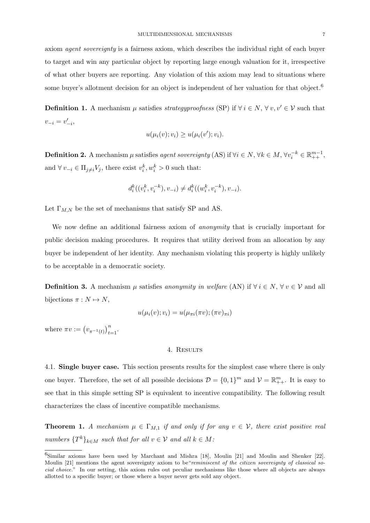axiom agent sovereignty is a fairness axiom, which describes the individual right of each buyer to target and win any particular object by reporting large enough valuation for it, irrespective of what other buyers are reporting. Any violation of this axiom may lead to situations where some buyer's allotment decision for an object is independent of her valuation for that object.<sup>6</sup>

**Definition 1.** A mechanism  $\mu$  satisfies *strategyproofness* (SP) if  $\forall i \in N, \forall v, v' \in V$  such that  $v_{-i} = v'_{-i},$ 

$$
u(\mu_i(v); v_i) \ge u(\mu_i(v'); v_i).
$$

**Definition 2.** A mechanism  $\mu$  satisfies agent sovereignty (AS) if  $\forall i \in N, \forall k \in M, \forall v_i^{-k} \in \mathbb{R}_{++}^{m-1}$ , and  $\forall v_{-i} \in \Pi_{j \neq i} V_j$ , there exist  $v_i^k, w_i^k > 0$  such that:

$$
d_i^k((v_i^k, v_i^{-k}), v_{-i}) \neq d_i^k((w_i^k, v_i^{-k}), v_{-i}).
$$

Let  $\Gamma_{M,N}$  be the set of mechanisms that satisfy SP and AS.

We now define an additional fairness axiom of *anonymity* that is crucially important for public decision making procedures. It requires that utility derived from an allocation by any buyer be independent of her identity. Any mechanism violating this property is highly unlikely to be acceptable in a democratic society.

**Definition 3.** A mechanism  $\mu$  satisfies anonymity in welfare (AN) if  $\forall i \in N, \forall v \in V$  and all bijections  $\pi : N \mapsto N$ ,

$$
u(\mu_i(v); v_i) = u(\mu_{\pi i}(\pi v); (\pi v)_{\pi i})
$$

where  $\pi v := (v_{\pi^{-1}(t)})_{t=1}^n$ .

#### 4. Results

4.1. Single buyer case. This section presents results for the simplest case where there is only one buyer. Therefore, the set of all possible decisions  $\mathcal{D} = \{0, 1\}^m$  and  $\mathcal{V} = \mathbb{R}^m_{++}$ . It is easy to see that in this simple setting SP is equivalent to incentive compatibility. The following result characterizes the class of incentive compatible mechanisms.

**Theorem 1.** A mechanism  $\mu \in \Gamma_{M,1}$  if and only if for any  $v \in V$ , there exist positive real numbers  $\{T^k\}_{k\in M}$  such that for all  $v \in V$  and all  $k \in M$ .

<sup>6</sup>Similar axioms have been used by Marchant and Mishra [18], Moulin [21] and Moulin and Shenker [22]. Moulin [21] mentions the agent sovereignty axiom to be"reminiscent of the citizen sovereignty of classical social choice." In our setting, this axiom rules out peculiar mechanisms like those where all objects are always allotted to a specific buyer; or those where a buyer never gets sold any object.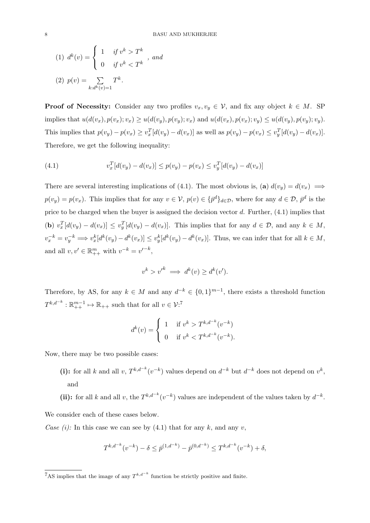(1) 
$$
d^k(v) = \begin{cases} 1 & \text{if } v^k > T^k \\ 0 & \text{if } v^k < T^k \end{cases}
$$
, and  
(2)  $p(v) = \sum_{k:d^k(v)=1} T^k$ .

**Proof of Necessity:** Consider any two profiles  $v_x, v_y \in V$ , and fix any object  $k \in M$ . SP implies that  $u(d(v_x), p(v_x); v_x) \geq u(d(v_y), p(v_y); v_x)$  and  $u(d(v_x), p(v_x); v_y) \leq u(d(v_y), p(v_y); v_y)$ . This implies that  $p(v_y) - p(v_x) \ge v_x^T [d(v_y) - d(v_x)]$  as well as  $p(v_y) - p(v_x) \le v_y^T [d(v_y) - d(v_x)]$ . Therefore, we get the following inequality:

(4.1) 
$$
v_x^T[d(v_y) - d(v_x)] \le p(v_y) - p(v_x) \le v_y^T[d(v_y) - d(v_x)]
$$

There are several interesting implications of (4.1). The most obvious is, (a)  $d(v_y) = d(v_x) \implies$  $p(v_y) = p(v_x)$ . This implies that for any  $v \in V$ ,  $p(v) \in {\{\bar{p}^d\}}_{d \in \mathcal{D}}$ , where for any  $d \in \mathcal{D}$ ,  $\bar{p}^d$  is the price to be charged when the buyer is assigned the decision vector  $d$ . Further,  $(4.1)$  implies that (b)  $v_x^T[d(v_y) - d(v_x)] \leq v_y^T[d(v_y) - d(v_x)]$ . This implies that for any  $d \in \mathcal{D}$ , and any  $k \in M$ ,  $v_x^{-k} = v_y^{-k} \Longrightarrow v_x^{k}[d^{k}(v_y) - d^{k}(v_x)] \leq v_y^{k}[d^{k}(v_y) - d^{k}(v_x)].$  Thus, we can infer that for all  $k \in M$ , and all  $v, v' \in \mathbb{R}_{++}^m$  with  $v^{-k} = v'^{-k}$ ,

$$
v^k > {v'}^k \implies d^k(v) \ge d^k(v').
$$

Therefore, by AS, for any  $k \in M$  and any  $d^{-k} \in \{0,1\}^{m-1}$ , there exists a threshold function  $T^{k,d^{-k}}: \mathbb{R}_{++}^{m-1} \mapsto \mathbb{R}_{++}$  such that for all  $v \in \mathcal{V}:^7$ 

$$
d^{k}(v) = \begin{cases} 1 & \text{if } v^{k} > T^{k,d^{-k}}(v^{-k}) \\ 0 & \text{if } v^{k} < T^{k,d^{-k}}(v^{-k}). \end{cases}
$$

Now, there may be two possible cases:

- (i): for all k and all v,  $T^{k,d-k}(v^{-k})$  values depend on  $d^{-k}$  but  $d^{-k}$  does not depend on  $v^{k}$ , and
- (ii): for all k and all v, the  $T^{k,d-k}(v^{-k})$  values are independent of the values taken by  $d^{-k}$ .

We consider each of these cases below.

Case (i): In this case we can see by (4.1) that for any k, and any v,

$$
T^{k,d^{-k}}(v^{-k}) - \delta \leq \bar{p}^{(1,d^{-k})} - \bar{p}^{(0,d^{-k})} \leq T^{k,d^{-k}}(v^{-k}) + \delta,
$$

<sup>&</sup>lt;sup>7</sup>AS implies that the image of any  $T^{k,d^{-k}}$  function be strictly positive and finite.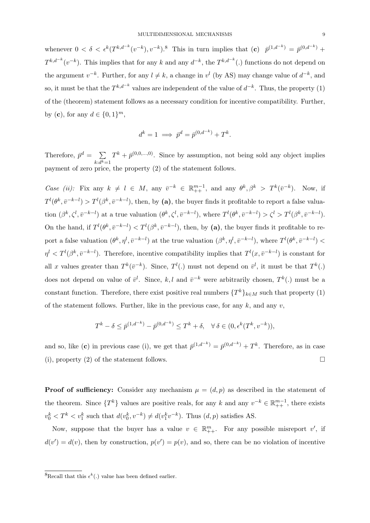whenever  $0 < \delta < \epsilon^k(T^{k,d^{-k}}(v^{-k}), v^{-k})$ .<sup>8</sup> This in turn implies that  $(c)$   $\bar{p}^{(1,d^{-k})} = \bar{p}^{(0,d^{-k})} +$  $T^{k,d^{-k}}(v^{-k})$ . This implies that for any k and any  $d^{-k}$ , the  $T^{k,d^{-k}}(.)$  functions do not depend on the argument  $v^{-k}$ . Further, for any  $l \neq k$ , a change in  $v^{l}$  (by AS) may change value of  $d^{-k}$ , and so, it must be that the  $T^{k,d-k}$  values are independent of the value of  $d^{-k}$ . Thus, the property (1) of the (theorem) statement follows as a necessary condition for incentive compatibility. Further, by (**c**), for any  $d \in \{0, 1\}^m$ ,

$$
d^k = 1 \implies \bar{p}^d = \bar{p}^{(0, d^{-k})} + T^k.
$$

Therefore,  $\bar{p}^d = \sum$  $k: d^k = 1$  $T^k + \bar{p}^{(0,0,...,0)}$ . Since by assumption, not being sold any object implies payment of zero price, the property (2) of the statement follows.

Case (ii): Fix any  $k \neq l \in M$ , any  $\bar{v}^{-k} \in \mathbb{R}_{++}^{m-1}$ , and any  $\theta^k, \beta^k > T^k(\bar{v}^{-k})$ . Now, if  $T^{l}(\theta^k, \bar{v}^{-k-l}) > T^{l}(\beta^k, \bar{v}^{-k-l}),$  then, by (a), the buyer finds it profitable to report a false valuation  $(\beta^k, \zeta^l, \bar{v}^{-k-l})$  at a true valuation  $(\theta^k, \zeta^l, \bar{v}^{-k-l})$ , where  $T^l(\theta^k, \bar{v}^{-k-l}) > \zeta^l > T^l(\beta^k, \bar{v}^{-k-l})$ . On the hand, if  $T^{l}(\theta^{k}, \bar{v}^{-k-l}) < T^{l}(\beta^{k}, \bar{v}^{-k-l})$ , then, by (a), the buyer finds it profitable to report a false valuation  $(\theta^k, \eta^l, \bar{v}^{-k-l})$  at the true valuation  $(\beta^k, \eta^l, \bar{v}^{-k-l})$ , where  $T^l(\theta^k, \bar{v}^{-k-l})$  $\eta^l < T^l(\beta^k, \bar{v}^{-k-l})$ . Therefore, incentive compatibility implies that  $T^l(x, \bar{v}^{-k-l})$  is constant for all x values greater than  $T^k(\bar{v}^{-k})$ . Since,  $T^l(.)$  must not depend on  $\bar{v}^l$ , it must be that  $T^k(.)$ does not depend on value of  $\bar{v}^l$ . Since, k, l and  $\bar{v}^{-k}$  were arbitrarily chosen,  $T^k(.)$  must be a constant function. Therefore, there exist positive real numbers  $\{T^k\}_{k\in M}$  such that property (1) of the statement follows. Further, like in the previous case, for any  $k$ , and any  $v$ ,

$$
T^{k} - \delta \le \bar{p}^{(1, d^{-k})} - \bar{p}^{(0, d^{-k})} \le T^{k} + \delta, \quad \forall \, \delta \in (0, \epsilon^{k}(T^{k}, v^{-k})),
$$

and so, like (c) in previous case (i), we get that  $\bar{p}^{(1,d^{-k})} = \bar{p}^{(0,d^{-k})} + T^k$ . Therefore, as in case (i), property (2) of the statement follows.

**Proof of sufficiency:** Consider any mechanism  $\mu = (d, p)$  as described in the statement of the theorem. Since  $\{T^k\}$  values are positive reals, for any k and any  $v^{-k} \in \mathbb{R}_{++}^{m-1}$ , there exists  $v_0^k < T^k < v_1^k$  such that  $d(v_0^k, v^{-k}) \neq d(v_1^k v^{-k})$ . Thus  $(d, p)$  satisfies AS.

Now, suppose that the buyer has a value  $v \in \mathbb{R}_{++}^m$ . For any possible misreport  $v'$ , if  $d(v') = d(v)$ , then by construction,  $p(v') = p(v)$ , and so, there can be no violation of incentive

<sup>&</sup>lt;sup>8</sup>Recall that this  $\epsilon^k(.)$  value has been defined earlier.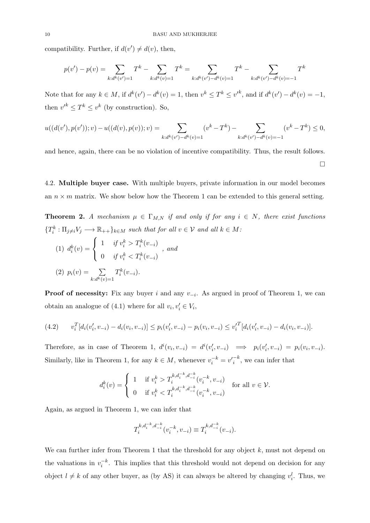compatibility. Further, if  $d(v') \neq d(v)$ , then,

$$
p(v') - p(v) = \sum_{k:d^k(v')=1} T^k - \sum_{k:d^k(v)=1} T^k = \sum_{k:d^k(v')-d^k(v)=1} T^k - \sum_{k:d^k(v')-d^k(v)=-1} T^k
$$

Note that for any  $k \in M$ , if  $d^k(v') - d^k(v) = 1$ , then  $v^k \leq T^k \leq v'^k$ , and if  $d^k(v') - d^k(v) = -1$ , then  $v'^k \n\t\leq T^k \leq v^k$  (by construction). So,

$$
u((d(v'), p(v')), v) - u((d(v), p(v)); v) = \sum_{k: d^k(v') - d^k(v) = 1} (v^k - T^k) - \sum_{k: d^k(v') - d^k(v) = -1} (v^k - T^k) \le 0,
$$

and hence, again, there can be no violation of incentive compatibility. Thus, the result follows.  $\Box$ 

4.2. Multiple buyer case. With multiple buyers, private information in our model becomes an  $n \times m$  matrix. We show below how the Theorem 1 can be extended to this general setting.

**Theorem 2.** A mechanism  $\mu \in \Gamma_{M,N}$  if and only if for any  $i \in N$ , there exist functions  ${T_k^k : \Pi_{j \neq i} V_j \longrightarrow \mathbb{R}_{++} }_{k \in M}$  such that for all  $v \in V$  and all  $k \in M$ :

(1) 
$$
d_i^k(v) = \begin{cases} 1 & \text{if } v_i^k > T_i^k(v_{-i}) \\ 0 & \text{if } v_i^k < T_i^k(v_{-i}) \end{cases}
$$
, and  
(2)  $p_i(v) = \sum T_i^k(v_{-i})$ .

 $k: d^k(v)=1$ 

**Proof of necessity:** Fix any buyer i and any  $v_{-i}$ . As argued in proof of Theorem 1, we can obtain an analogue of (4.1) where for all  $v_i, v'_i \in V_i$ ,

$$
(4.2) \t v_i^T[d_i(v_i', v_{-i}) - d_i(v_i, v_{-i})] \leq p_i(v_i', v_{-i}) - p_i(v_i, v_{-i}) \leq v_i^T[d_i(v_i', v_{-i}) - d_i(v_i, v_{-i})].
$$

Therefore, as in case of Theorem 1,  $d^i(v_i, v_{-i}) = d^i(v'_i, v_{-i}) \implies p_i(v'_i, v_{-i}) = p_i(v_i, v_{-i}).$ Similarly, like in Theorem 1, for any  $k \in M$ , whenever  $v_i^{-k} = v_i^{-k}$ , we can infer that

$$
d_i^k(v) = \begin{cases} 1 & \text{if } v_i^k > T_i^{k, d_i^{-k}, d_{-i}^{-k}}(v_i^{-k}, v_{-i}) \\ 0 & \text{if } v_i^k < T_i^{k, d_i^{-k}, d_{-i}^{-k}}(v_i^{-k}, v_{-i}) \end{cases}
$$
 for all  $v \in \mathcal{V}$ .

Again, as argued in Theorem 1, we can infer that

$$
T_i^{k, d_i^{-k}, d_{-i}^{-k}}(v_i^{-k}, v_{-i}) \equiv T_i^{k, d_{-i}^{-k}}(v_{-i}).
$$

We can further infer from Theorem 1 that the threshold for any object  $k$ , must not depend on the valuations in  $v_i^{-k}$ . This implies that this threshold would not depend on decision for any object  $l \neq k$  of any other buyer, as (by AS) it can always be altered by changing  $v_i^l$ . Thus, we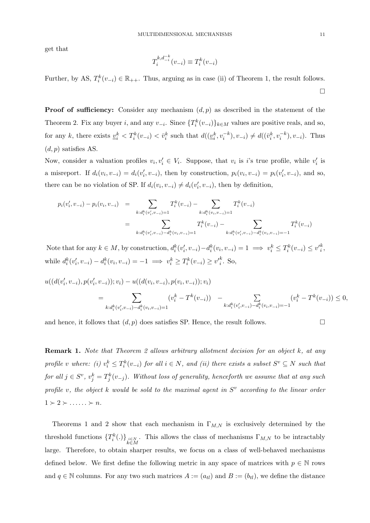get that

$$
T_i^{k, d_{-i}^{-k}}(v_{-i}) \equiv T_i^k(v_{-i})
$$

Further, by AS,  $T_i^k(v_{-i}) \in \mathbb{R}_{++}$ . Thus, arguing as in case (ii) of Theorem 1, the result follows.  $\Box$ 

**Proof of sufficiency:** Consider any mechanism  $(d, p)$  as described in the statement of the Theorem 2. Fix any buyer i, and any  $v_{-i}$ . Since  $\{T_i^k(v_{-i})\}_{k\in M}$  values are positive reals, and so, for any k, there exists  $\underline{v}_i^k < T_i^k(v_{-i}) < \overline{v}_i^k$  such that  $d((\underline{v}_i^k, v_i^{-k}), v_{-i}) \neq d((\overline{v}_i^k, v_i^{-k}), v_{-i})$ . Thus  $(d, p)$  satisfies AS.

Now, consider a valuation profiles  $v_i, v'_i \in V_i$ . Suppose, that  $v_i$  is i's true profile, while  $v'_i$  is a misreport. If  $d_i(v_i, v_{-i}) = d_i(v'_i, v_{-i})$ , then by construction,  $p_i(v_i, v_{-i}) = p_i(v'_i, v_{-i})$ , and so, there can be no violation of SP. If  $d_i(v_i, v_{-i}) \neq d_i(v'_i, v_{-i})$ , then by definition,

$$
p_i(v'_i, v_{-i}) - p_i(v_i, v_{-i}) = \sum_{k:d_i^k(v'_i, v_{-i})=1} T_i^k(v_{-i}) - \sum_{k:d_i^k(v_i, v_{-i})=1} T_i^k(v_{-i})
$$
  

$$
= \sum_{k:d_i^k(v'_i, v_{-i})-d_i^k(v_i, v_{-i})=1} T_i^k(v_{-i}) - \sum_{k:d_i^k(v'_i, v_{-i})-d_i^k(v_i, v_{-i})=1} T_i^k(v_{-i})
$$

Note that for any  $k \in M$ , by construction,  $d_i^k(v'_i, v_{-i}) - d_i^k(v_i, v_{-i}) = 1 \implies v_i^k \leq T_i^k(v_{-i}) \leq v_i'^k$ , while  $d_i^k(v'_i, v_{-i}) - d_i^k(v_i, v_{-i}) = -1 \implies v_i^k \ge T_i^k(v_{-i}) \ge v_i'^k$ . So,

$$
u((d(v'_i, v_{-i}), p(v'_i, v_{-i})); v_i) - u((d(v_i, v_{-i}), p(v_i, v_{-i})); v_i)
$$
  
= 
$$
\sum_{k: d_i^k(v'_i, v_{-i}) - d_i^k(v_i, v_{-i}) = 1} (v_i^k - T^k(v_{-i})) - \sum_{k: d_i^k(v'_i, v_{-i}) - d_i^k(v_i, v_{-i}) = -1} (v_i^k - T^k(v_{-i})) \le 0,
$$

and hence, it follows that  $(d, p)$  does satisfies SP. Hence, the result follows.

Remark 1. Note that Theorem 2 allows arbitrary allotment decision for an object k, at any profile v where: (i)  $v_i^k \leq T_i^k(v_{-i})$  for all  $i \in N$ , and (ii) there exists a subset  $S^v \subseteq N$  such that for all  $j \in S^v$ ,  $v_j^k = T_j^k(v_{-j})$ . Without loss of generality, henceforth we assume that at any such profile v, the object k would be sold to the maximal agent in  $S^v$  according to the linear order  $1 \succ 2 \succ \ldots \succ n$ .

Theorems 1 and 2 show that each mechanism in  $\Gamma_{M,N}$  is exclusively determined by the threshold functions  $\{T_i^k(.)\}_{i \in M}$ . This allows the class of mechanisms  $\Gamma_{M,N}$  to be intractably large. Therefore, to obtain sharper results, we focus on a class of well-behaved mechanisms defined below. We first define the following metric in any space of matrices with  $p \in \mathbb{N}$  rows and  $q \in \mathbb{N}$  columns. For any two such matrices  $A := (a_{tl})$  and  $B := (b_{tl})$ , we define the distance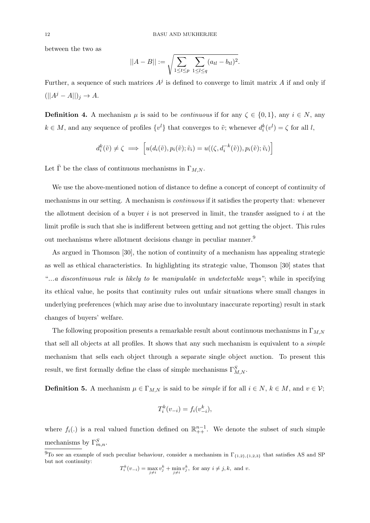between the two as

$$
||A - B|| := \sqrt{\sum_{1 \le t \le p} \sum_{1 \le l \le q} (a_{tl} - b_{tl})^2}.
$$

Further, a sequence of such matrices  $A^j$  is defined to converge to limit matrix A if and only if  $(||A^j - A||)_j \rightarrow A.$ 

**Definition 4.** A mechanism  $\mu$  is said to be *continuous* if for any  $\zeta \in \{0, 1\}$ , any  $i \in N$ , any  $k \in M$ , and any sequence of profiles  $\{v^l\}$  that converges to  $\tilde{v}$ ; whenever  $d_i^k(v^l) = \zeta$  for all l,

$$
d_i^k(\tilde{v}) \neq \zeta \implies \left[ u(d_i(\tilde{v}), p_i(\tilde{v}); \tilde{v}_i) = u((\zeta, d_i^{-k}(\tilde{v})), p_i(\tilde{v}); \tilde{v}_i) \right]
$$

Let  $\bar{\Gamma}$  be the class of continuous mechanisms in  $\Gamma_{M,N}$ .

We use the above-mentioned notion of distance to define a concept of concept of continuity of mechanisms in our setting. A mechanism is *continuous* if it satisfies the property that: whenever the allotment decision of a buyer  $i$  is not preserved in limit, the transfer assigned to  $i$  at the limit profile is such that she is indifferent between getting and not getting the object. This rules out mechanisms where allotment decisions change in peculiar manner.<sup>9</sup>

As argued in Thomson [30], the notion of continuity of a mechanism has appealing strategic as well as ethical characteristics. In highlighting its strategic value, Thomson [30] states that "...a discontinuous rule is likely to be manipulable in undetectable ways"; while in specifying its ethical value, he posits that continuity rules out unfair situations where small changes in underlying preferences (which may arise due to involuntary inaccurate reporting) result in stark changes of buyers' welfare.

The following proposition presents a remarkable result about continuous mechanisms in  $\Gamma_{M,N}$ that sell all objects at all profiles. It shows that any such mechanism is equivalent to a *simple* mechanism that sells each object through a separate single object auction. To present this result, we first formally define the class of simple mechanisms  $\Gamma^S_{M,N}$ .

**Definition 5.** A mechanism  $\mu \in \Gamma_{M,N}$  is said to be *simple* if for all  $i \in N$ ,  $k \in M$ , and  $v \in V$ ;

$$
T_i^k(v_{-i}) = f_i(v_{-i}^k),
$$

where  $f_i(.)$  is a real valued function defined on  $\mathbb{R}_{++}^{n-1}$ . We denote the subset of such simple mechanisms by  $\Gamma_{m,n}^S$ .

$$
T_i^k(v_{-i}) = \max_{j \neq i} v_j^k + \min_{j \neq i} v_j^k, \text{ for any } i \neq j, k, \text{ and } v.
$$

<sup>&</sup>lt;sup>9</sup>To see an example of such peculiar behaviour, consider a mechanism in  $\Gamma_{\{1,2\},\{1,2,3\}}$  that satisfies AS and SP but not continuity: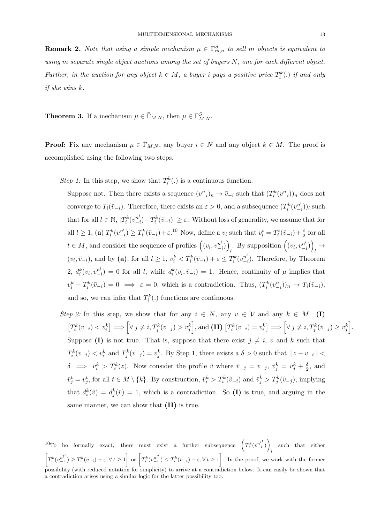**Remark 2.** Note that using a simple mechanism  $\mu \in \Gamma_{m,n}^S$  to sell m objects is equivalent to using m separate single object auctions among the set of buyers N, one for each different object. Further, in the auction for any object  $k \in M$ , a buyer i pays a positive price  $T_i^k(.)$  if and only if she wins k.

**Theorem 3.** If a mechanism  $\mu \in \bar{\Gamma}_{M,N}$ , then  $\mu \in \Gamma^S_{M,N}$ .

**Proof:** Fix any mechanism  $\mu \in \bar{\Gamma}_{M,N}$ , any buyer  $i \in N$  and any object  $k \in M$ . The proof is accomplished using the following two steps.

Step 1: In this step, we show that  $T_i^k(.)$  is a continuous function.

Suppose not. Then there exists a sequence  $(v_{-i}^n)_n \to \bar{v}_{-i}$  such that  $(T_i^k(v_{-i}^n))_n$  does not converge to  $T_i(\bar{v}_{-i})$ . Therefore, there exists an  $\varepsilon > 0$ , and a subsequence  $(T_i^k(v_{-i}^{n^k})$  $\binom{n^i}{-i}$ )l such that for all  $l \in \mathbb{N}$ ,  $|T_i^k(v_{-i}^{n^l})|$  $\binom{n^l}{-i}-T_i^k(\bar{v}_{-i})\geq \varepsilon$ . Without loss of generality, we assume that for all  $l \geq 1$ , (**a**)  $T_i^k(v_{-i}^{n^l})$  $\binom{n^l}{i} \geq T_i^k(\bar{v}_{-i}) + \varepsilon^{10}$  Now, define a  $v_i$  such that  $v_i^t = T_i^t(\bar{v}_{-i}) + \frac{\varepsilon}{2}$  for all  $t \in M$ , and consider the sequence of profiles  $( (v_i, v_{i\cdot}^n))$  $\binom{n^l}{-i}$ By supposition  $((v_i, v_{i}^n))$  $\binom{n^l}{-i}$  $\overrightarrow{l}$  $(v_i, \bar{v}_{-i})$ , and by (a), for all  $l \geq 1$ ,  $v_i^k < T_i^k(\bar{v}_{-i}) + \varepsilon \leq T_i^k(v_{-i}^{n^k})$  $\binom{n^i}{i}$ . Therefore, by Theorem  $2, d_i^k(v_i, v_{-i}^{n^l})$  $\binom{n^l}{i} = 0$  for all l, while  $d_i^k(v_i, \bar{v}_{-i}) = 1$ . Hence, continuity of  $\mu$  implies that  $v_i^k - T_i^k(\bar{v}_{-i}) = 0 \implies \varepsilon = 0$ , which is a contradiction. Thus,  $(T_i^k(v_{-i}^n))_n \to T_i(\bar{v}_{-i}),$ and so, we can infer that  $T_i^k(.)$  functions are continuous.

Step 2: In this step, we show that for any  $i \in N$ , any  $v \in V$  and any  $k \in M$ : (I)  $\left[T_i^k(v_{-i}) < v_i^k\right] \Longrightarrow \left[\forall j \neq i, T_j^k(v_{-j}) > v_j^k\right],$  and  $\textbf{(II)}\left[T_i^k(v_{-i}) = v_i^k\right] \Longrightarrow \left[\forall j \neq i, T_j^k(v_{-j}) \geq v_j^k\right].$ Suppose (I) is not true. That is, suppose that there exist  $j \neq i$ , v and k such that  $T_i^k(v_{-i}) \langle v_i^k \rangle$  and  $T_j^k(v_{-j}) = v_j^k$ . By Step 1, there exists a  $\delta > 0$  such that  $||z - v_{-i}||$  $\delta \implies v_i^k > T_i^k(z)$ . Now consider the profile  $\hat{v}$  where  $\hat{v}_{-j} = v_{-j}, \hat{v}_j^k = v_j^k + \frac{\delta}{2}$  $\frac{\delta}{2}$ , and  $\hat{v}_j^t = v_j^t$ , for all  $t \in M \setminus \{k\}$ . By construction,  $\hat{v}_i^k > T_i^k(\hat{v}_{-i})$  and  $\hat{v}_j^k > T_j^k(\hat{v}_{-j})$ , implying that  $d_i^k(\hat{v}) = d_j^k(\hat{v}) = 1$ , which is a contradiction. So (I) is true, and arguing in the same manner, we can show that  $(II)$  is true.

<sup>&</sup>lt;sup>10</sup>To be formally exact, there must exist a further subsequence  $(T_i^k(v_{-i}^{n_i^{l^t}}))$  such that either  $\left[T_i^k(v_{-i}^{n^{l^t}}) \geq T_i^k(\bar{v}_{-i}) + \varepsilon, \forall t \geq 1\right]$  or  $\left[T_i^k(v_{-i}^{n^{l^t}}) \leq T_i^k(\bar{v}_{-i}) - \varepsilon, \forall t \geq 1\right]$ . In the proof, we work with the former possibility (with reduced notation for simplicity) to arrive at a contradiction below. It can easily be shown that a contradiction arises using a similar logic for the latter possibility too.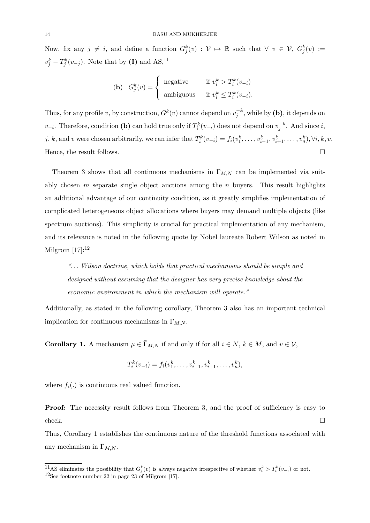Now, fix any  $j \neq i$ , and define a function  $G_j^k(v) : \mathcal{V} \mapsto \mathbb{R}$  such that  $\forall v \in \mathcal{V}$ ,  $G_j^k(v) :=$  $v_j^k - T_j^k(v_{-j})$ . Note that by (I) and AS,<sup>11</sup>

$$
\textbf{(b)} \quad G_j^k(v) = \begin{cases} \text{ negative} & \text{if } v_i^k > T_i^k(v_{-i})\\ \text{ambiguous} & \text{if } v_i^k \le T_i^k(v_{-i}). \end{cases}
$$

Thus, for any profile v, by construction,  $G^k(v)$  cannot depend on  $v_j^{-k}$ , while by (b), it depends on  $v_{-i}$ . Therefore, condition (b) can hold true only if  $T_i^k(v_{-i})$  does not depend on  $v_j^{-k}$ . And since i, j, k, and v were chosen arbitrarily, we can infer that  $T_i^k(v_{-i}) = f_i(v_1^k, \ldots, v_{i-1}^k, v_{i+1}^k, \ldots, v_n^k), \forall i, k, v$ . Hence, the result follows.  $\Box$ 

Theorem 3 shows that all continuous mechanisms in  $\Gamma_{M,N}$  can be implemented via suitably chosen  $m$  separate single object auctions among the  $n$  buyers. This result highlights an additional advantage of our continuity condition, as it greatly simplifies implementation of complicated heterogeneous object allocations where buyers may demand multiple objects (like spectrum auctions). This simplicity is crucial for practical implementation of any mechanism, and its relevance is noted in the following quote by Nobel laureate Robert Wilson as noted in Milgrom  $[17]$ :<sup>12</sup>

"... Wilson doctrine, which holds that practical mechanisms should be simple and designed without assuming that the designer has very precise knowledge about the economic environment in which the mechanism will operate."

Additionally, as stated in the following corollary, Theorem 3 also has an important technical implication for continuous mechanisms in  $\Gamma_{M,N}$ .

**Corollary 1.** A mechanism  $\mu \in \bar{\Gamma}_{M,N}$  if and only if for all  $i \in N$ ,  $k \in M$ , and  $v \in V$ ,

$$
T_i^k(v_{-i}) = f_i(v_1^k, \dots, v_{i-1}^k, v_{i+1}^k, \dots, v_n^k),
$$

where  $f_i(.)$  is continuous real valued function.

**Proof:** The necessity result follows from Theorem 3, and the proof of sufficiency is easy to  $\Box$ check.

Thus, Corollary 1 establishes the continuous nature of the threshold functions associated with any mechanism in  $\bar{\Gamma}_{M,N}$ .

<sup>&</sup>lt;sup>11</sup>AS eliminates the possibility that  $G_j^k(v)$  is always negative irrespective of whether  $v_i^k > T_i^k(v_{-i})$  or not.  $12$ See footnote number 22 in page 23 of Milgrom [17].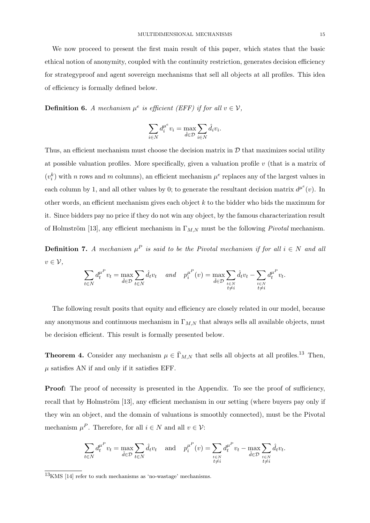We now proceed to present the first main result of this paper, which states that the basic ethical notion of anonymity, coupled with the continuity restriction, generates decision efficiency for strategyproof and agent sovereign mechanisms that sell all objects at all profiles. This idea of efficiency is formally defined below.

**Definition 6.** A mechanism  $\mu^e$  is efficient (EFF) if for all  $v \in \mathcal{V}$ ,

$$
\sum_{i\in N}d_i^{\mu^e}v_i=\max_{\hat{d}\in\mathcal{D}}\sum_{i\in N}\hat{d}_iv_i.
$$

Thus, an efficient mechanism must choose the decision matrix in  $D$  that maximizes social utility at possible valuation profiles. More specifically, given a valuation profile  $v$  (that is a matrix of  $(v_i^k)$  with n rows and m columns), an efficient mechanism  $\mu^e$  replaces any of the largest values in each column by 1, and all other values by 0; to generate the resultant decision matrix  $d^{\mu^e}(v)$ . In other words, an efficient mechanism gives each object k to the bidder who bids the maximum for it. Since bidders pay no price if they do not win any object, by the famous characterization result of Holmström [13], any efficient mechanism in  $\Gamma_{M,N}$  must be the following *Pivotal* mechanism.

**Definition 7.** A mechanism  $\mu^P$  is said to be the Pivotal mechanism if for all  $i \in N$  and all  $v \in \mathcal{V}$ ,

$$
\sum_{t \in N} d_t^{\mu^P} v_t = \max_{\hat{d} \in \mathcal{D}} \sum_{t \in N} \hat{d}_t v_t \quad and \quad p_i^{\mu^P}(v) = \max_{\hat{d} \in \mathcal{D}} \sum_{\substack{t \in N \\ t \neq i}} \hat{d}_t v_t - \sum_{\substack{t \in N \\ t \neq i}} d_t^{\mu^P} v_t.
$$

The following result posits that equity and efficiency are closely related in our model, because any anonymous and continuous mechanism in  $\Gamma_{M,N}$  that always sells all available objects, must be decision efficient. This result is formally presented below.

**Theorem 4.** Consider any mechanism  $\mu \in \bar{\Gamma}_{M,N}$  that sells all objects at all profiles.<sup>13</sup> Then,  $\mu$  satisfies AN if and only if it satisfies EFF.

**Proof:** The proof of necessity is presented in the Appendix. To see the proof of sufficiency, recall that by Holmström [13], any efficient mechanism in our setting (where buyers pay only if they win an object, and the domain of valuations is smoothly connected), must be the Pivotal mechanism  $\mu^P$ . Therefore, for all  $i \in N$  and all  $v \in \mathcal{V}$ :

$$
\sum_{t \in N} d_t^{\mu^P} v_t = \max_{\hat{d} \in \mathcal{D}} \sum_{t \in N} \hat{d}_t v_t \quad \text{and} \quad p_i^{\mu^P}(v) = \sum_{\substack{t \in N \\ t \neq i}} d_t^{\mu^P} v_t - \max_{\hat{d} \in \mathcal{D}} \sum_{\substack{t \in N \\ t \neq i}} \hat{d}_t v_t
$$

.

 $\frac{13}{13}$ KMS [14] refer to such mechanisms as 'no-wastage' mechanisms.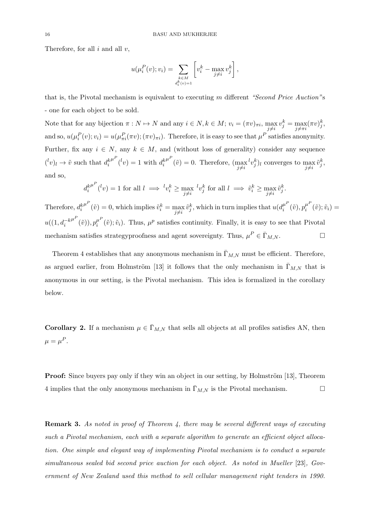Therefore, for all  $i$  and all  $v$ ,

$$
u(\mu_i^P(v); v_i) = \sum_{\substack{k \in M \\ d_i^k(v)=1}} \left[ v_i^k - \max_{j \neq i} v_j^k \right],
$$

that is, the Pivotal mechanism is equivalent to executing m different "Second Price Auction"s - one for each object to be sold.

Note that for any bijection  $\pi : N \mapsto N$  and any  $i \in N, k \in M$ ;  $v_i = (\pi v)_{\pi i}$ ,  $\max_{j \neq i} v_j^k = \max_{j \neq \pi i} (\pi v)_j^k$ , and so,  $u(\mu_i^P(v); v_i) = u(\mu_{\pi i}^P(\pi v); (\pi v)_{\pi i})$ . Therefore, it is easy to see that  $\mu^P$  satisfies anonymity. Further, fix any  $i \in N$ , any  $k \in M$ , and (without loss of generality) consider any sequence  $({}^l v)_l \rightarrow \tilde{v}$  such that  $d_i^k$  $\mu^P(v) = 1$  with  $d_i^k$  $\mu^P(\tilde{v}) = 0$ . Therefore,  $(\max_{j \neq i} {}^l v_j^k)_l$  converges to  $\max_{j \neq i} \tilde{v}_j^k$ , and so,

$$
d_i^{k^{\mu^P}}(v) = 1 \text{ for all } l \implies {}^l v_i^k \ge \max_{j \neq i} {}^l v_j^k \text{ for all } l \implies \tilde{v}_i^k \ge \max_{j \neq i} \tilde{v}_j^k.
$$

Therefore,  $d_i^k$  $\mu^P(\tilde{v}) = 0$ , which implies  $\tilde{v}_i^k = \max_{j \neq i} \tilde{v}_j^k$ , which in turn implies that  $u(d_i^{\mu^L})$  $\tilde{v}_i^{\mu^P}(\tilde{v}),p_i^{\mu^P}$  $\tilde{v}_i^{\mu \nu}(\tilde{v}); \tilde{v}_i) =$  $u((1, d_i^{-k}))$  $\mu^P(\tilde v)), p_i^{\mu^P}$  $i_l^{\mu}(\tilde{v}); \tilde{v}_i$ . Thus,  $\mu^p$  satisfies continuity. Finally, it is easy to see that Pivotal mechanism satisfies strategyproofness and agent sovereignty. Thus,  $\mu^P \in \bar{\Gamma}_{M,N}$ .

Theorem 4 establishes that any anonymous mechanism in  $\bar{\Gamma}_{M,N}$  must be efficient. Therefore, as argued earlier, from Holmström [13] it follows that the only mechanism in  $\Gamma_{M,N}$  that is anonymous in our setting, is the Pivotal mechanism. This idea is formalized in the corollary below.

**Corollary 2.** If a mechanism  $\mu \in \bar{\Gamma}_{M,N}$  that sells all objects at all profiles satisfies AN, then  $\mu = \mu^P.$ 

**Proof:** Since buyers pay only if they win an object in our setting, by Holmström [13], Theorem 4 implies that the only anonymous mechanism in  $\Gamma_{M,N}$  is the Pivotal mechanism.

Remark 3. As noted in proof of Theorem 4, there may be several different ways of executing such a Pivotal mechanism, each with a separate algorithm to generate an efficient object allocation. One simple and elegant way of implementing Pivotal mechanism is to conduct a separate simultaneous sealed bid second price auction for each object. As noted in Mueller [23], Government of New Zealand used this method to sell cellular management right tenders in 1990.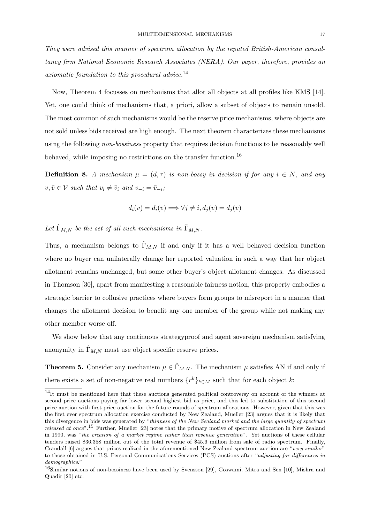They were advised this manner of spectrum allocation by the reputed British-American consultancy firm National Economic Research Associates (NERA). Our paper, therefore, provides an axiomatic foundation to this procedural advice.<sup>14</sup>

Now, Theorem 4 focusses on mechanisms that allot all objects at all profiles like KMS [14]. Yet, one could think of mechanisms that, a priori, allow a subset of objects to remain unsold. The most common of such mechanisms would be the reserve price mechanisms, where objects are not sold unless bids received are high enough. The next theorem characterizes these mechanisms using the following *non-bossiness* property that requires decision functions to be reasonably well behaved, while imposing no restrictions on the transfer function.<sup>16</sup>

**Definition 8.** A mechanism  $\mu = (d, \tau)$  is non-bossy in decision if for any  $i \in N$ , and any  $v, \bar{v} \in \mathcal{V}$  such that  $v_i \neq \bar{v}_i$  and  $v_{-i} = \bar{v}_{-i}$ ;

$$
d_i(v) = d_i(\bar{v}) \Longrightarrow \forall j \neq i, d_j(v) = d_j(\bar{v})
$$

Let  $\hat{\Gamma}_{M,N}$  be the set of all such mechanisms in  $\bar{\Gamma}_{M,N}$ .

Thus, a mechanism belongs to  $\hat{\Gamma}_{M,N}$  if and only if it has a well behaved decision function where no buyer can unilaterally change her reported valuation in such a way that her object allotment remains unchanged, but some other buyer's object allotment changes. As discussed in Thomson [30], apart from manifesting a reasonable fairness notion, this property embodies a strategic barrier to collusive practices where buyers form groups to misreport in a manner that changes the allotment decision to benefit any one member of the group while not making any other member worse off.

We show below that any continuous strategyproof and agent sovereign mechanism satisfying anonymity in  $\Gamma_{M,N}$  must use object specific reserve prices.

**Theorem 5.** Consider any mechanism  $\mu \in \hat{\Gamma}_{M,N}$ . The mechanism  $\mu$  satisfies AN if and only if there exists a set of non-negative real numbers  $\{r^k\}_{k\in M}$  such that for each object k:

<sup>14</sup>It must be mentioned here that these auctions generated political controversy on account of the winners at second price auctions paying far lower second highest bid as price, and this led to substitution of this second price auction with first price auction for the future rounds of spectrum allocations. However, given that this was the first ever spectrum allocation exercise conducted by New Zealand, Mueller [23] argues that it is likely that this divergence in bids was generated by "thinness of the New Zealand market and the large quantity of spectrum released at once".<sup>15</sup> Further, Mueller [23] notes that the primary motive of spectrum allocation in New Zealand in 1990, was "the creation of a market regime rather than revenue generation". Yet auctions of these cellular tenders raised \$36.358 million out of the total revenue of \$45.6 million from sale of radio spectrum. Finally, Crandall [6] argues that prices realized in the aforementioned New Zealand spectrum auction are "very similar" to those obtained in U.S. Personal Communications Services (PCS) auctions after "adjusting for differences in demographics."

<sup>&</sup>lt;sup>16</sup>Similar notions of non-bossiness have been used by Svensson [29], Goswami, Mitra and Sen [10], Mishra and Quadir [20] etc.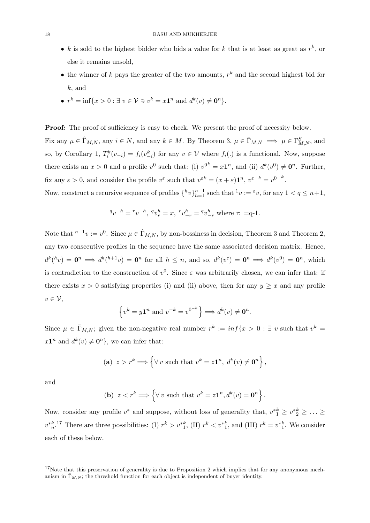- k is sold to the highest bidder who bids a value for k that is at least as great as  $r^k$ , or else it remains unsold,
- the winner of k pays the greater of the two amounts,  $r^k$  and the second highest bid for  $k$ , and
- $r^k = \inf\{x > 0 : \exists v \in \mathcal{V} \ni v^k = x\mathbf{1}^n \text{ and } d^k(v) \neq \mathbf{0}^n\}.$

**Proof:** The proof of sufficiency is easy to check. We present the proof of necessity below.

Fix any  $\mu \in \hat{\Gamma}_{M,N}$ , any  $i \in N$ , and any  $k \in M$ . By Theorem 3,  $\mu \in \bar{\Gamma}_{M,N} \implies \mu \in \Gamma_{M,N}^S$ , and so, by Corollary 1,  $T_i^k(v_{-i}) = f_i(v_{-i}^k)$  for any  $v \in V$  where  $f_i(.)$  is a functional. Now, suppose there exists an  $x > 0$  and a profile  $v^0$  such that: (i)  $v^{0^k} = x\mathbf{1}^n$ , and (ii)  $d^k(v^0) \neq \mathbf{0}^n$ . Further, fix any  $\varepsilon > 0$ , and consider the profile  $v^{\varepsilon}$  such that  $v^{\varepsilon k} = (x + \varepsilon) \mathbf{1}^n$ ,  $v^{\varepsilon - k} = v^{0-k}$ .

Now, construct a recursive sequence of profiles  $\{ {}^h v \}_{h=1}^{n+1}$  such that  ${}^1 v := {}^{\varepsilon} v$ , for any  $1 < q \leq n+1$ ,

$$
{}^{q}v^{-h} = {}^{r}v^{-h}, {}^{q}v^{h}_{r} = x, {}^{r}v^{h}_{-r} = {}^{q}v^{h}_{-r}
$$
 where r: =q-1.

Note that  ${}^{n+1}v := v^0$ . Since  $\mu \in \hat{\Gamma}_{M,N}$ , by non-bossiness in decision, Theorem 3 and Theorem 2, any two consecutive profiles in the sequence have the same associated decision matrix. Hence,  $d^k(^h v) = \mathbf{0}^n \Longrightarrow d^k(^{h+1} v) = \mathbf{0}^n$  for all  $h \leq n$ , and so,  $d^k(v^{\varepsilon}) = \mathbf{0}^n \Longrightarrow d^k(v^0) = \mathbf{0}^n$ , which is contradiction to the construction of  $v^0$ . Since  $\varepsilon$  was arbitrarily chosen, we can infer that: if there exists  $x > 0$  satisfying properties (i) and (ii) above, then for any  $y \geq x$  and any profile  $v \in \mathcal{V}$ ,

$$
\left\{ v^k = y\mathbf{1}^n \text{ and } v^{-k} = v^{0^{-k}} \right\} \Longrightarrow d^k(v) \neq \mathbf{0}^n.
$$

Since  $\mu \in \bar{\Gamma}_{M,N}$ ; given the non-negative real number  $r^k := \inf\{x > 0 : \exists v$  such that  $v^k =$  $x1^n$  and  $d^k(v) \neq \mathbf{0}^n$ , we can infer that:

(a) 
$$
z > r^k \Longrightarrow \left\{ \forall v \text{ such that } v^k = z\mathbf{1}^n, d^k(v) \neq \mathbf{0}^n \right\},\
$$

and

**(b)** 
$$
z < r^k \Longrightarrow \left\{ \forall v \text{ such that } v^k = z\mathbf{1}^n, d^k(v) = \mathbf{0}^n \right\}
$$

.

Now, consider any profile  $v^*$  and suppose, without loss of generality that,  $v_{1}^* \geq v_{2}^* \geq \ldots \geq$  $v_{n}^{*k}$ <sup>17</sup> There are three possibilities: (I)  $r^{k} > v_{1}^{*k}$ , (II)  $r^{k} < v_{1}^{*k}$ , and (III)  $r^{k} = v_{1}^{*k}$ . We consider each of these below.

 $17$ Note that this preservation of generality is due to Proposition 2 which implies that for any anonymous mechanism in  $\overline{\Gamma}_{M,N}$ ; the threshold function for each object is independent of buyer identity.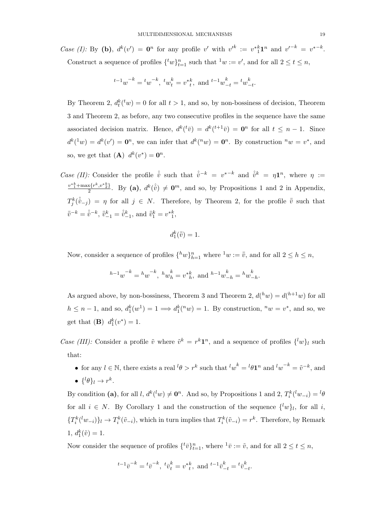Case (I): By (b),  $d^k(v') = 0^n$  for any profile v' with  $v'^k := v^*1^n$  and  $v'^{-k} = v^{*-k}$ . Construct a sequence of profiles  $\{^t w\}_{t=1}^n$  such that  $^1 w := v'$ , and for all  $2 \le t \le n$ ,

$$
{}^{t-1}w^{-k} = {}^t w^{-k}, \, {}^t w_t^k = v^*{}^k_t, \text{ and } {}^{t-1}w_{-t}^k = {}^t w_{-t}^k.
$$

By Theorem 2,  $d_t^k$ <sup>( $t_w$ </sup>) = 0 for all  $t > 1$ , and so, by non-bossiness of decision, Theorem 3 and Theorem 2, as before, any two consecutive profiles in the sequence have the same associated decision matrix. Hence,  $d^k({}^t\bar{v}) = d^k({}^{t+1}\bar{v}) = \mathbf{0}^n$  for all  $t \leq n-1$ . Since  $d^{k}(w) = d^{k}(v') = \mathbf{0}^{n}$ , we can infer that  $d^{k}(w) = \mathbf{0}^{n}$ . By construction  $^{n}w = v^{*}$ , and so, we get that  $(\mathbf{A}) d^k(v^*) = \mathbf{0}^n$ .

Case (II): Consider the profile  $\hat{v}$  such that  $\hat{v}^{-k} = v^{*-k}$  and  $\hat{v}^k = \eta \mathbf{1}^n$ , where  $\eta :=$  $v^*_{1}^{k} + \max\{r^k, v^*\}$  $\frac{x\{r^k,v^*\frac{k}{2}\}}{2}$ . By (a),  $d^k(\hat{v}) \neq \mathbf{0}^m$ , and so, by Propositions 1 and 2 in Appendix,  $T_j^k(\hat{v}_{-j}) = \eta$  for all  $j \in N$ . Therefore, by Theorem 2, for the profile  $\bar{v}$  such that  $\bar{v}^{-k} = \hat{v}^{-k}, \, \bar{v}_{-1}^k = \hat{v}_{-1}^k$ , and  $\bar{v}_1^k = v_{-1}^k$ ,

$$
d_1^k(\bar{\bar{v}})=1.
$$

Now, consider a sequence of profiles  $\{ {}^h w \}_{h=1}^n$  where  ${}^1 w := \overline{v}$ , and for all  $2 \le h \le n$ ,

$$
h^{-1}w^{-k} = h w^{-k}, h w_h^k = v^*_{h}^k
$$
, and  $h^{-1}w_{-h}^k = h w_{-h}^k$ .

As argued above, by non-bossiness, Theorem 3 and Theorem 2,  $d(^h w) = d(^{h+1} w)$  for all  $h \leq n-1$ , and so,  $d_1^k(w^1) = 1 \Longrightarrow d_1^k(w) = 1$ . By construction,  $^nw = v^*$ , and so, we get that **(B)**  $d_1^k(v^*) = 1$ .

Case (III): Consider a profile  $\tilde{v}$  where  $\tilde{v}^k = r^k \mathbf{1}^n$ , and a sequence of profiles  $\{^l w\}_l$  such that:

• for any  $l \in \mathbb{N}$ , there exists a real  $l\theta > r^k$  such that  $l w^k = l\theta \mathbf{1}^n$  and  $l w^{-k} = \tilde{v}^{-k}$ , and •  $\{\,^l\theta\}_l \rightarrow r^k.$ 

By condition (a), for all  $l, d^{k}(w) \neq \mathbf{0}^{n}$ . And so, by Propositions 1 and 2,  $T_{i}^{k}(w_{-i}) = {}^{l}\theta$ for all  $i \in N$ . By Corollary 1 and the construction of the sequence  $\{^l w\}_l$ , for all i,  $\{T_i^k({}^l w_{-i})\}_l \to T_i^k(\tilde{v}_{-i})$ , which in turn implies that  $T_i^k(\tilde{v}_{-i}) = r^k$ . Therefore, by Remark  $1, d_1^k(\tilde{v}) = 1.$ 

Now consider the sequence of profiles  $\{^t\bar{v}\}_{t=1}^n$ , where  $^1\bar{v} := \tilde{v}$ , and for all  $2 \le t \le n$ ,

$$
{}^{t-1}\bar{v}^{-k}={}^t\bar{v}^{-k},\ {}^t\bar{v}^k_t={v^*}^k_t,\ \text{and}\ {}^{t-1}\bar{v}^k_{-t}={}^t\bar{v}^k_{-t}.
$$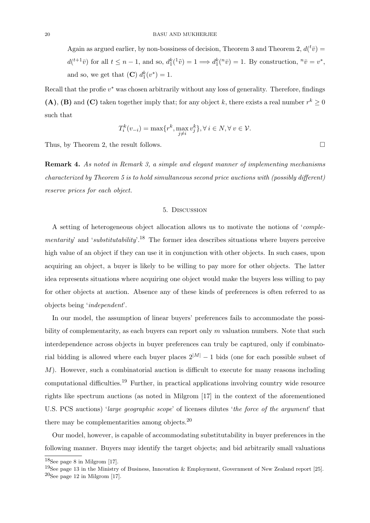Again as argued earlier, by non-bossiness of decision, Theorem 3 and Theorem 2,  $d(\bar{t}\bar{v}) =$  $d(t+1\bar{v})$  for all  $t \leq n-1$ , and so,  $d_1^k({}^1\tilde{v}) = 1 \Longrightarrow d_1^k({}^n\bar{v}) = 1$ . By construction,  ${}^n\bar{v} = v^*$ , and so, we get that  $(C) d_1^k(v^*) = 1$ .

Recall that the profie  $v^*$  was chosen arbitrarily without any loss of generality. Therefore, findings (A), (B) and (C) taken together imply that; for any object k, there exists a real number  $r^k \geq 0$ such that

$$
T_i^k(v_{-i}) = \max\{r^k, \max_{j \neq i} v_j^k\}, \forall i \in N, \forall v \in \mathcal{V}.
$$

Thus, by Theorem 2, the result follows.

Remark 4. As noted in Remark 3, a simple and elegant manner of implementing mechanisms characterized by Theorem 5 is to hold simultaneous second price auctions with (possibly different) reserve prices for each object.

#### 5. Discussion

A setting of heterogeneous object allocation allows us to motivate the notions of 'complementarity' and 'substitutability'.<sup>18</sup> The former idea describes situations where buyers perceive high value of an object if they can use it in conjunction with other objects. In such cases, upon acquiring an object, a buyer is likely to be willing to pay more for other objects. The latter idea represents situations where acquiring one object would make the buyers less willing to pay for other objects at auction. Absence any of these kinds of preferences is often referred to as objects being 'independent'.

In our model, the assumption of linear buyers' preferences fails to accommodate the possibility of complementarity, as each buyers can report only  $m$  valuation numbers. Note that such interdependence across objects in buyer preferences can truly be captured, only if combinatorial bidding is allowed where each buyer places  $2^{|M|} - 1$  bids (one for each possible subset of M). However, such a combinatorial auction is difficult to execute for many reasons including computational difficulties.<sup>19</sup> Further, in practical applications involving country wide resource rights like spectrum auctions (as noted in Milgrom [17] in the context of the aforementioned U.S. PCS auctions) 'large geographic scope' of licenses dilutes 'the force of the argument' that there may be complementarities among objects. $^{20}$ 

Our model, however, is capable of accommodating substitutability in buyer preferences in the following manner. Buyers may identify the target objects; and bid arbitrarily small valuations

<sup>18</sup>See page 8 in Milgrom [17].

<sup>&</sup>lt;sup>19</sup>See page 13 in the Ministry of Business, Innovation & Employment, Government of New Zealand report [25].  $20$ See page 12 in Milgrom [17].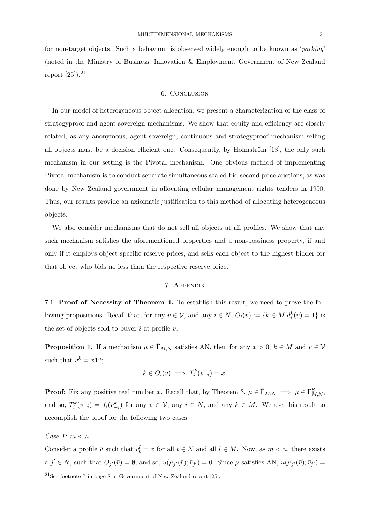for non-target objects. Such a behaviour is observed widely enough to be known as 'parking' (noted in the Ministry of Business, Innovation & Employment, Government of New Zealand report  $[25]$ ).<sup>21</sup>

#### 6. Conclusion

In our model of heterogeneous object allocation, we present a characterization of the class of strategyproof and agent sovereign mechanisms. We show that equity and efficiency are closely related, as any anonymous, agent sovereign, continuous and strategyproof mechanism selling all objects must be a decision efficient one. Consequently, by Holmström  $[13]$ , the only such mechanism in our setting is the Pivotal mechanism. One obvious method of implementing Pivotal mechanism is to conduct separate simultaneous sealed bid second price auctions, as was done by New Zealand government in allocating cellular management rights tenders in 1990. Thus, our results provide an axiomatic justification to this method of allocating heterogeneous objects.

We also consider mechanisms that do not sell all objects at all profiles. We show that any such mechanism satisfies the aforementioned properties and a non-bossiness property, if and only if it employs object specific reserve prices, and sells each object to the highest bidder for that object who bids no less than the respective reserve price.

## 7. Appendix

7.1. Proof of Necessity of Theorem 4. To establish this result, we need to prove the following propositions. Recall that, for any  $v \in V$ , and any  $i \in N$ ,  $O_i(v) := \{k \in M | d_i^k(v) = 1\}$  is the set of objects sold to buyer i at profile v.

**Proposition 1.** If a mechanism  $\mu \in \bar{\Gamma}_{M,N}$  satisfies AN, then for any  $x > 0$ ,  $k \in M$  and  $v \in V$ such that  $v^k = x\mathbf{1}^n$ ;

$$
k \in O_i(v) \implies T_i^k(v_{-i}) = x.
$$

**Proof:** Fix any positive real number x. Recall that, by Theorem 3,  $\mu \in \bar{\Gamma}_{M,N} \implies \mu \in \Gamma_{M,N}^S$ , and so,  $T_i^k(v_{-i}) = f_i(v_{-i}^k)$  for any  $v \in V$ , any  $i \in N$ , and any  $k \in M$ . We use this result to accomplish the proof for the following two cases.

Case 1:  $m < n$ .

Consider a profile  $\bar{v}$  such that  $v_t^l = x$  for all  $t \in N$  and all  $l \in M$ . Now, as  $m < n$ , there exists  $a \, j' \in N$ , such that  $O_{j'}(\bar{v}) = \emptyset$ , and so,  $u(\mu_{j'}(\bar{v}); \bar{v}_{j'}) = 0$ . Since  $\mu$  satisfies AN,  $u(\mu_{j'}(\bar{v}); \bar{v}_{j'}) =$ 

<sup>21</sup>See footnote 7 in page 8 in Government of New Zealand report [25].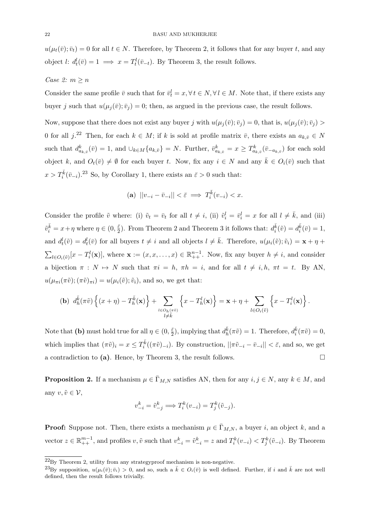$u(\mu_t(\bar{v}); \bar{v}_t) = 0$  for all  $t \in N$ . Therefore, by Theorem 2, it follows that for any buyer t, and any object l:  $d_t^l(\bar{v}) = 1 \implies x = T_t^l(\bar{v}_{-t})$ . By Theorem 3, the result follows.

### Case 2:  $m \geq n$

Consider the same profile  $\bar{v}$  such that for  $\bar{v}_t^l = x, \forall t \in N, \forall l \in M$ . Note that, if there exists any buyer j such that  $u(\mu_i(\bar{v}); \bar{v}_i) = 0$ ; then, as argued in the previous case, the result follows.

Now, suppose that there does not exist any buyer j with  $u(\mu_i(\bar{v}); \bar{v}_i) = 0$ , that is,  $u(\mu_i(\bar{v}); \bar{v}_i) >$ 0 for all  $j^{22}$  Then, for each  $k \in M$ ; if k is sold at profile matrix  $\bar{v}$ , there exists an  $a_{k,\bar{v}} \in N$ such that  $d_{a_{k,\bar{v}}}^k(\bar{v}) = 1$ , and  $\cup_{k \in M} \{a_{k,\bar{v}}\} = N$ . Further,  $\bar{v}_{a_{k,\bar{v}}}^k = x \geq T_{a_{k,\bar{v}}}^k(\bar{v}_{-a_{k,\bar{v}}})$  for each sold object k, and  $O_t(\bar{v}) \neq \emptyset$  for each buyer t. Now, fix any  $i \in N$  and any  $\bar{k} \in O_i(\bar{v})$  such that  $x > T_i^{\bar{k}}(\bar{v}_{-i})$ <sup>23</sup> So, by Corollary 1, there exists an  $\bar{\varepsilon} > 0$  such that:

$$
(\mathbf{a}) \ \ ||v_{-i} - \bar{v}_{-i}|| < \bar{\varepsilon} \implies T_i^{\bar{k}}(v_{-i}) < x.
$$

Consider the profile  $\tilde{v}$  where: (i)  $\tilde{v}_t = \bar{v}_t$  for all  $t \neq i$ , (ii)  $\tilde{v}_i^l = \bar{v}_i^l = x$  for all  $l \neq \bar{k}$ , and (iii)  $\tilde{v}_i^{\bar{k}} = x + \eta$  where  $\eta \in (0, \frac{\bar{\varepsilon}}{2})$  $\frac{\bar{\varepsilon}}{2}$ ). From Theorem 2 and Theorem 3 it follows that:  $d_i^{\bar{k}}(\tilde{v}) = d_i^{\bar{k}}(\bar{v}) = 1$ , and  $d_t^l(\tilde{v}) = d_t^l(\tilde{v})$  for all buyers  $t \neq i$  and all objects  $l \neq \bar{k}$ . Therefore,  $u(\mu_i(\tilde{v}); \tilde{v}_i) = \mathbf{x} + \eta + \eta$  $\sum_{l \in O_i(\tilde{v})} [x - T_i^l(\mathbf{x})],$  where  $\mathbf{x} := (x, x, \dots, x) \in \mathbb{R}_{++}^{n-1}$ . Now, fix any buyer  $h \neq i$ , and consider a bijection  $\pi : N \mapsto N$  such that  $\pi i = h$ ,  $\pi h = i$ , and for all  $t \neq i, h$ ,  $\pi t = t$ . By AN,  $u(\mu_{\pi i}(\pi\tilde{v});(\pi\tilde{v})_{\pi i}) = u(\mu_i(\tilde{v});\tilde{v}_i)$ , and so, we get that:

$$
\textbf{(b)}~~d^{\bar{k}}_{h}(\pi\tilde{v})\left\{(x+\eta)-T^{\bar{k}}_{h}(\mathbf{x})\right\}+\sum_{\substack{l\in O_{h}(\pi\tilde{v})\\ l\neq \bar{k}}}\left\{x-T^{l}_{h}(\mathbf{x})\right\}=\mathbf{x}+\eta+\sum_{l\in O_{i}(\tilde{v})}\left\{x-T^{l}_{i}(\mathbf{x})\right\}.
$$

Note that (b) must hold true for all  $\eta \in (0, \frac{\bar{\varepsilon}}{2})$  $\frac{\bar{\varepsilon}}{2}$ , implying that  $d_h^{\bar{k}}(\pi\tilde{v}) = 1$ . Therefore,  $d_i^{\bar{k}}(\pi\tilde{v}) = 0$ , which implies that  $(\pi \tilde{v})_i = x \leq T_i^{\bar{k}}((\pi \tilde{v})_{-i})$ . By construction,  $||\pi \tilde{v}_{-i} - \bar{v}_{-i}|| < \bar{\varepsilon}$ , and so, we get a contradiction to (a). Hence, by Theorem 3, the result follows.  $\square$ 

**Proposition 2.** If a mechanism  $\mu \in \bar{\Gamma}_{M,N}$  satisfies AN, then for any  $i, j \in N$ , any  $k \in M$ , and any  $v, \tilde{v} \in \mathcal{V}$ ,

$$
v_{-i}^k = \tilde{v}_{-j}^k \Longrightarrow T_i^k(v_{-i}) = T_j^k(\tilde{v}_{-j}).
$$

**Proof:** Suppose not. Then, there exists a mechanism  $\mu \in \bar{\Gamma}_{M,N}$ , a buyer i, an object k, and a vector  $z \in \mathbb{R}_{++}^{m-1}$ , and profiles  $v, \tilde{v}$  such that  $v_{-i}^k = \tilde{v}_{-i}^k = z$  and  $T_i^k(v_{-i}) < T_j^k(\tilde{v}_{-i})$ . By Theorem

 $^{22}$ By Theorem 2, utility from any strategyproof mechanism is non-negative.

<sup>&</sup>lt;sup>23</sup>By supposition,  $u(\mu_i(\bar{v}); \bar{v}_i) > 0$ , and so, such a  $\bar{k} \in O_i(\bar{v})$  is well defined. Further, if i and  $\bar{k}$  are not well defined, then the result follows trivially.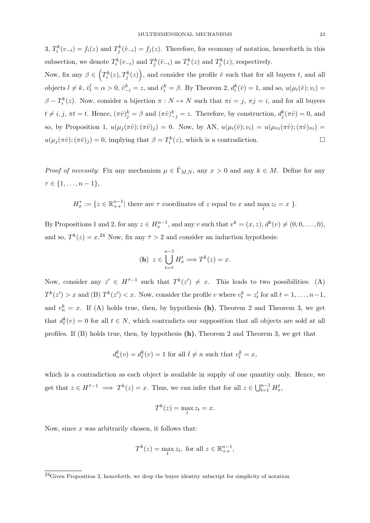3,  $T_i^k(v_{-i}) = f_i(z)$  and  $T_j^k(\tilde{v}_{-i}) = f_j(z)$ . Therefore, for economy of notation, henceforth in this subsection, we denote  $T_i^k(v_{-i})$  and  $T_j^k(\tilde{v}_{-i})$  as  $T_i^k(z)$  and  $T_j^k(z)$ , respectively.

Now, fix any  $\beta \in \left( T_i^k(z), T_j^k(z) \right)$ , and consider the profile  $\hat{v}$  such that for all buyers t, and all objects  $l \neq k$ ,  $\hat{v}_t^l = \alpha > 0$ ,  $\hat{v}_{-i}^k = z$ , and  $\hat{v}_i^k = \beta$ . By Theorem 2,  $d_i^k(\hat{v}) = 1$ , and so,  $u(\mu_i(\hat{v}); v_i) =$  $\beta - T_i^k(z)$ . Now, consider a bijection  $\pi : N \to N$  such that  $\pi i = j$ ,  $\pi j = i$ , and for all buyers  $t \neq i, j, \pi t = t$ . Hence,  $(\pi \hat{v})_j^k = \beta$  and  $(\pi \hat{v})_{-j}^k = z$ . Therefore, by construction,  $d_j^k(\pi \hat{v}) = 0$ , and so, by Proposition 1,  $u(\mu_j(\pi \hat{v});(\pi \hat{v})_j) = 0$ . Now, by AN,  $u(\mu_i(\hat{v}); v_i) = u(\mu_{\pi i}(\pi \hat{v});(\pi \hat{v})_{\pi i}) =$  $u(\mu_j(\pi \hat{v});(\pi \hat{v})_j) = 0$ , implying that  $\beta = T_i^k(z)$ , which is a contradiction.

*Proof of necessity:* Fix any mechanism  $\mu \in \bar{\Gamma}_{M,N}$ , any  $x > 0$  and any  $k \in M$ . Define for any  $\tau \in \{1, \ldots, n-1\},\$ 

 $H_x^{\tau} := \{ z \in \mathbb{R}_{++}^{n-1} \mid \text{there are } \tau \text{ coordinates of } z \text{ equal to } x \text{ and } \max_t z_t = x \}.$ 

By Propositions 1 and 2, for any  $z \in H^{n-1}_x$ , and any v such that  $v^k = (x, z)$ ,  $d^k(v) \neq (0, 0, \ldots, 0)$ , and so,  $T^k(z) = x^{24}$  Now, fix any  $\bar{\tau} > 2$  and consider an induction hypothesis:

$$
\textbf{(h)}\ \ z\in \bigcup_{t=\bar{\tau}}^{n-1} H^t_x \Longrightarrow T^k(z)=x.
$$

Now, consider any  $z' \in H^{\bar{\tau}-1}$  such that  $T^k(z') \neq x$ . This leads to two possibilities: (A)  $T^k(z') > x$  and (B)  $T^k(z') < x$ . Now, consider the profile v where  $v_t^k = z_t'$  for all  $t = 1, \ldots, n-1$ , and  $v_n^k = x$ . If (A) holds true, then, by hypothesis (h), Theorem 2 and Theorem 3, we get that  $d_t^k(v) = 0$  for all  $t \in N$ , which contradicts our supposition that all objects are sold at all profiles. If (B) holds true, then, by hypothesis (h), Theorem 2 and Theorem 3, we get that

$$
d_n^k(v) = d_{\bar{t}}^k(v) = 1
$$
 for all  $\bar{t} \neq n$  such that  $v_{\bar{t}}^k = x$ ,

which is a contradiction as each object is available in supply of one quantity only. Hence, we get that  $z \in H^{\bar{\tau}-1} \implies T^k(z) = x$ . Thus, we can infer that for all  $z \in \bigcup_{t=1}^{n-1} H_x^t$ ,

$$
T^k(z) = \max_t z_t = x.
$$

Now, since  $x$  was arbitrarily chosen, it follows that:

$$
T^k(z) = \max_t z_t, \text{ for all } z \in \mathbb{R}^{n-1}_{++},
$$

 $\overline{^{24}$ Given Proposition 2, henceforth, we drop the buyer identity subscript for simplicity of notation.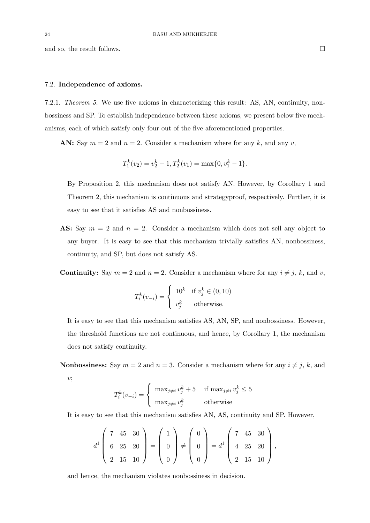#### 7.2. Independence of axioms.

7.2.1. Theorem 5. We use five axioms in characterizing this result: AS, AN, continuity, nonbossiness and SP. To establish independence between these axioms, we present below five mechanisms, each of which satisfy only four out of the five aforementioned properties.

AN: Say  $m = 2$  and  $n = 2$ . Consider a mechanism where for any k, and any v,

$$
T_1^k(v_2) = v_2^k + 1, T_2^k(v_1) = \max\{0, v_1^k - 1\}.
$$

By Proposition 2, this mechanism does not satisfy AN. However, by Corollary 1 and Theorem 2, this mechanism is continuous and strategyproof, respectively. Further, it is easy to see that it satisfies AS and nonbossiness.

AS: Say  $m = 2$  and  $n = 2$ . Consider a mechanism which does not sell any object to any buyer. It is easy to see that this mechanism trivially satisfies AN, nonbossiness, continuity, and SP, but does not satisfy AS.

**Continuity:** Say  $m = 2$  and  $n = 2$ . Consider a mechanism where for any  $i \neq j$ , k, and v,

$$
T_i^k(v_{-i}) = \begin{cases} 10^k & \text{if } v_j^k \in (0, 10) \\ v_j^k & \text{otherwise.} \end{cases}
$$

It is easy to see that this mechanism satisfies AS, AN, SP, and nonbossiness. However, the threshold functions are not continuous, and hence, by Corollary 1, the mechanism does not satisfy continuity.

**Nonbossiness:** Say  $m = 2$  and  $n = 3$ . Consider a mechanism where for any  $i \neq j$ , k, and  $v$ ;

$$
T_i^k(v_{-i}) = \begin{cases} \max_{j \neq i} v_j^k + 5 & \text{if } \max_{j \neq i} v_j^k \le 5\\ \max_{j \neq i} v_j^k & \text{otherwise} \end{cases}
$$

It is easy to see that this mechanism satisfies AN, AS, continuity and SP. However,

$$
d^1\begin{pmatrix} 7 & 45 & 30 \\ 6 & 25 & 20 \\ 2 & 15 & 10 \end{pmatrix} = \begin{pmatrix} 1 \\ 0 \\ 0 \end{pmatrix} \neq \begin{pmatrix} 0 \\ 0 \\ 0 \end{pmatrix} = d^1 \begin{pmatrix} 7 & 45 & 30 \\ 4 & 25 & 20 \\ 2 & 15 & 10 \end{pmatrix},
$$

and hence, the mechanism violates nonbossiness in decision.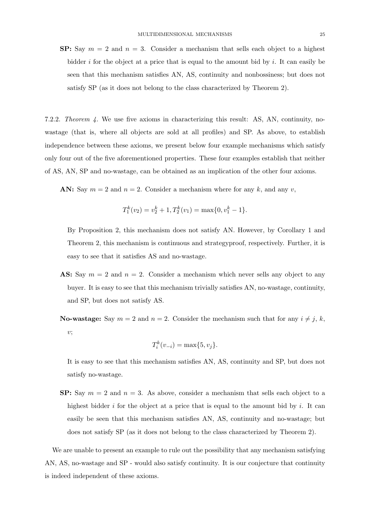**SP:** Say  $m = 2$  and  $n = 3$ . Consider a mechanism that sells each object to a highest bidder i for the object at a price that is equal to the amount bid by i. It can easily be seen that this mechanism satisfies AN, AS, continuity and nonbossiness; but does not satisfy SP (as it does not belong to the class characterized by Theorem 2).

7.2.2. Theorem 4. We use five axioms in characterizing this result: AS, AN, continuity, nowastage (that is, where all objects are sold at all profiles) and SP. As above, to establish independence between these axioms, we present below four example mechanisms which satisfy only four out of the five aforementioned properties. These four examples establish that neither of AS, AN, SP and no-wastage, can be obtained as an implication of the other four axioms.

AN: Say  $m = 2$  and  $n = 2$ . Consider a mechanism where for any k, and any v,

$$
T_1^k(v_2) = v_2^k + 1, T_2^k(v_1) = \max\{0, v_1^k - 1\}.
$$

By Proposition 2, this mechanism does not satisfy AN. However, by Corollary 1 and Theorem 2, this mechanism is continuous and strategyproof, respectively. Further, it is easy to see that it satisfies AS and no-wastage.

AS: Say  $m = 2$  and  $n = 2$ . Consider a mechanism which never sells any object to any buyer. It is easy to see that this mechanism trivially satisfies AN, no-wastage, continuity, and SP, but does not satisfy AS.

**No-wastage:** Say  $m = 2$  and  $n = 2$ . Consider the mechanism such that for any  $i \neq j$ , k,  $v$ ;

$$
T_i^k(v_{-i}) = \max\{5, v_j\}.
$$

It is easy to see that this mechanism satisfies AN, AS, continuity and SP, but does not satisfy no-wastage.

**SP:** Say  $m = 2$  and  $n = 3$ . As above, consider a mechanism that sells each object to a highest bidder i for the object at a price that is equal to the amount bid by i. It can easily be seen that this mechanism satisfies AN, AS, continuity and no-wastage; but does not satisfy SP (as it does not belong to the class characterized by Theorem 2).

We are unable to present an example to rule out the possibility that any mechanism satisfying AN, AS, no-wastage and SP - would also satisfy continuity. It is our conjecture that continuity is indeed independent of these axioms.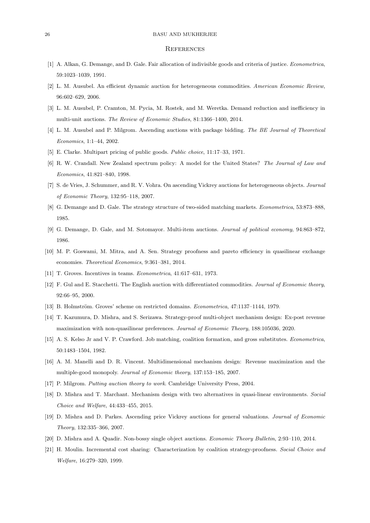#### 26 BASU AND MUKHERJEE

#### **REFERENCES**

- [1] A. Alkan, G. Demange, and D. Gale. Fair allocation of indivisible goods and criteria of justice. Econometrica, 59:1023–1039, 1991.
- [2] L. M. Ausubel. An efficient dynamic auction for heterogeneous commodities. American Economic Review, 96:602–629, 2006.
- [3] L. M. Ausubel, P. Cramton, M. Pycia, M. Rostek, and M. Weretka. Demand reduction and inefficiency in multi-unit auctions. The Review of Economic Studies, 81:1366–1400, 2014.
- [4] L. M. Ausubel and P. Milgrom. Ascending auctions with package bidding. The BE Journal of Theoretical Economics, 1:1–44, 2002.
- [5] E. Clarke. Multipart pricing of public goods. Public choice, 11:17–33, 1971.
- [6] R. W. Crandall. New Zealand spectrum policy: A model for the United States? The Journal of Law and Economics, 41:821–840, 1998.
- [7] S. de Vries, J. Schummer, and R. V. Vohra. On ascending Vickrey auctions for heterogeneous objects. Journal of Economic Theory, 132:95–118, 2007.
- [8] G. Demange and D. Gale. The strategy structure of two-sided matching markets. Econometrica, 53:873–888, 1985.
- [9] G. Demange, D. Gale, and M. Sotomayor. Multi-item auctions. Journal of political economy, 94:863–872, 1986.
- [10] M. P. Goswami, M. Mitra, and A. Sen. Strategy proofness and pareto efficiency in quasilinear exchange economies. Theoretical Economics, 9:361–381, 2014.
- [11] T. Groves. Incentives in teams. Econometrica, 41:617–631, 1973.
- [12] F. Gul and E. Stacchetti. The English auction with differentiated commodities. Journal of Economic theory, 92:66–95, 2000.
- [13] B. Holmström. Groves' scheme on restricted domains. *Econometrica*, 47:1137–1144, 1979.
- [14] T. Kazumura, D. Mishra, and S. Serizawa. Strategy-proof multi-object mechanism design: Ex-post revenue maximization with non-quasilinear preferences. Journal of Economic Theory, 188:105036, 2020.
- [15] A. S. Kelso Jr and V. P. Crawford. Job matching, coalition formation, and gross substitutes. Econometrica, 50:1483–1504, 1982.
- [16] A. M. Manelli and D. R. Vincent. Multidimensional mechanism design: Revenue maximization and the multiple-good monopoly. Journal of Economic theory, 137:153–185, 2007.
- [17] P. Milgrom. Putting auction theory to work. Cambridge University Press, 2004.
- [18] D. Mishra and T. Marchant. Mechanism design with two alternatives in quasi-linear environments. Social Choice and Welfare, 44:433–455, 2015.
- [19] D. Mishra and D. Parkes. Ascending price Vickrey auctions for general valuations. Journal of Economic Theory, 132:335–366, 2007.
- [20] D. Mishra and A. Quadir. Non-bossy single object auctions. Economic Theory Bulletin, 2:93–110, 2014.
- [21] H. Moulin. Incremental cost sharing: Characterization by coalition strategy-proofness. Social Choice and Welfare, 16:279–320, 1999.